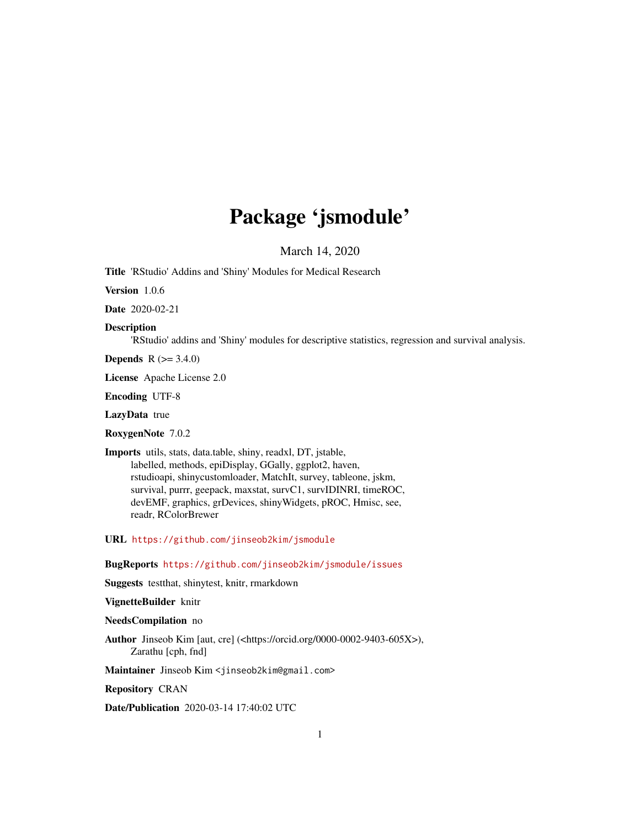# Package 'jsmodule'

March 14, 2020

<span id="page-0-0"></span>Title 'RStudio' Addins and 'Shiny' Modules for Medical Research

Version 1.0.6

Date 2020-02-21

Description

'RStudio' addins and 'Shiny' modules for descriptive statistics, regression and survival analysis.

**Depends** R  $(>= 3.4.0)$ 

License Apache License 2.0

Encoding UTF-8

LazyData true

RoxygenNote 7.0.2

Imports utils, stats, data.table, shiny, readxl, DT, jstable, labelled, methods, epiDisplay, GGally, ggplot2, haven, rstudioapi, shinycustomloader, MatchIt, survey, tableone, jskm, survival, purrr, geepack, maxstat, survC1, survIDINRI, timeROC, devEMF, graphics, grDevices, shinyWidgets, pROC, Hmisc, see, readr, RColorBrewer

URL <https://github.com/jinseob2kim/jsmodule>

BugReports <https://github.com/jinseob2kim/jsmodule/issues>

Suggests testthat, shinytest, knitr, rmarkdown

VignetteBuilder knitr

NeedsCompilation no

Author Jinseob Kim [aut, cre] (<https://orcid.org/0000-0002-9403-605X>), Zarathu [cph, fnd]

Maintainer Jinseob Kim <jinseob2kim@gmail.com>

Repository CRAN

Date/Publication 2020-03-14 17:40:02 UTC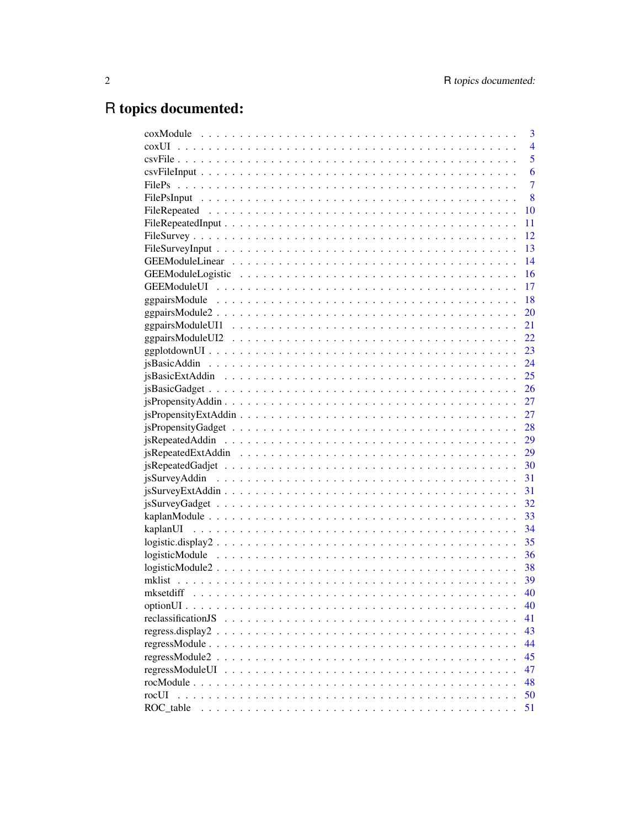# R topics documented:

|                    | 3              |
|--------------------|----------------|
|                    | $\overline{4}$ |
|                    | 5              |
|                    | 6              |
|                    | $\overline{7}$ |
|                    | 8              |
|                    | 10             |
|                    | 11             |
|                    | 12             |
|                    | 13             |
|                    | 14             |
|                    | 16             |
|                    | 17             |
|                    | 18             |
|                    | 20             |
|                    |                |
|                    |                |
|                    |                |
|                    |                |
|                    |                |
|                    |                |
|                    |                |
|                    |                |
|                    |                |
|                    |                |
|                    |                |
|                    |                |
|                    |                |
|                    |                |
|                    |                |
|                    |                |
|                    |                |
|                    |                |
|                    | 36             |
|                    |                |
|                    |                |
|                    | 40             |
|                    | 40             |
| reclassificationJS | 41             |
|                    | 43             |
|                    | 44             |
|                    | 45             |
| regressModuleUI    | 47             |
|                    | 48             |
| rocUI              | 50             |
| ROC table          | 51             |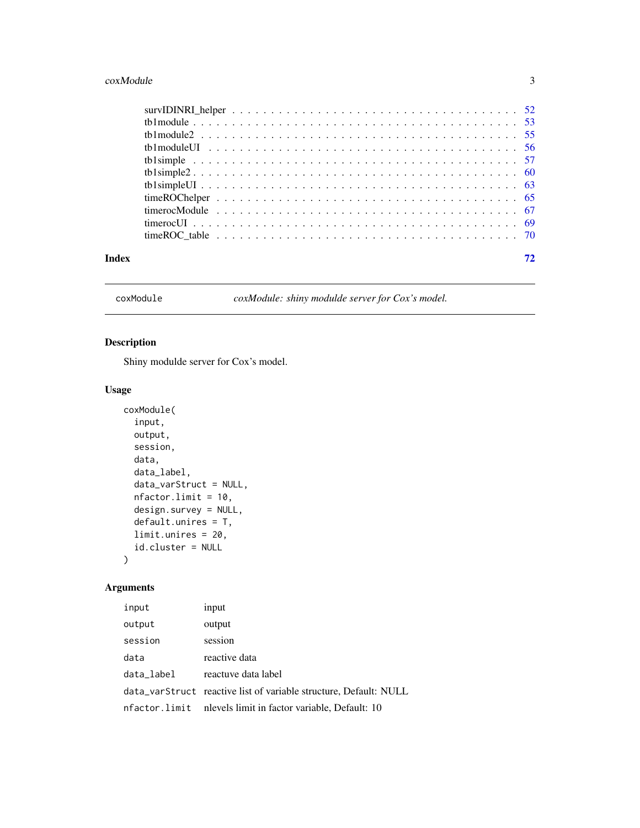#### <span id="page-2-0"></span> $\alpha$ xModule  $\beta$

| Index |  |
|-------|--|

coxModule *coxModule: shiny modulde server for Cox's model.*

# Description

Shiny modulde server for Cox's model.

# Usage

```
coxModule(
  input,
 output,
  session,
 data,
  data_label,
 data_varStruct = NULL,
 nfactor.limit = 10,
 design.survey = NULL,
 default.unires = T,
 limit.unires = 20,
  id.cluster = NULL
)
```
# Arguments

| input         | input                                                             |
|---------------|-------------------------------------------------------------------|
| output        | output                                                            |
| session       | session                                                           |
| data          | reactive data                                                     |
| data_label    | reactuve data label                                               |
|               | data_varStruct reactive list of variable structure, Default: NULL |
| nfactor.limit | nlevels limit in factor variable, Default: 10                     |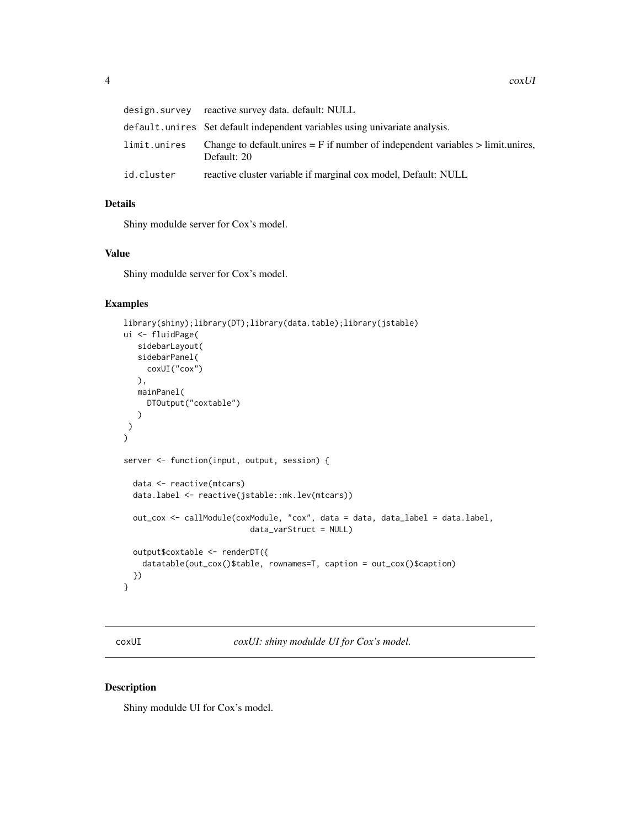<span id="page-3-0"></span>

|              | design.survey reactive survey data.default: NULL                                                   |
|--------------|----------------------------------------------------------------------------------------------------|
|              | default.unires Set default independent variables using univariate analysis.                        |
| limit.unires | Change to default unires $=$ F if number of independent variables $>$ limit unires,<br>Default: 20 |
| id.cluster   | reactive cluster variable if marginal cox model, Default: NULL                                     |

#### Details

Shiny modulde server for Cox's model.

# Value

Shiny modulde server for Cox's model.

#### Examples

```
library(shiny);library(DT);library(data.table);library(jstable)
ui <- fluidPage(
   sidebarLayout(
   sidebarPanel(
     coxUI("cox")
  ),
  mainPanel(
    DTOutput("coxtable")
  )
\lambda)
server <- function(input, output, session) {
  data <- reactive(mtcars)
  data.label <- reactive(jstable::mk.lev(mtcars))
  out_cox <- callModule(coxModule, "cox", data = data, data_label = data.label,
                           data_varStruct = NULL)
  output$coxtable <- renderDT({
   datatable(out_cox()$table, rownames=T, caption = out_cox()$caption)
  })
}
```
coxUI *coxUI: shiny modulde UI for Cox's model.*

#### Description

Shiny modulde UI for Cox's model.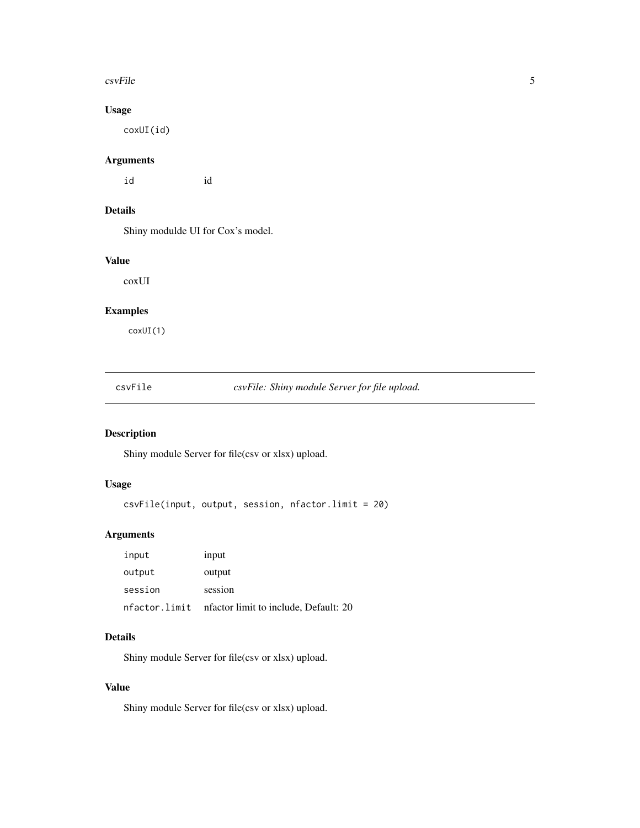#### <span id="page-4-0"></span> $\sim$  csvFile  $\sim$  5

# Usage

coxUI(id)

# Arguments

id id

# Details

Shiny modulde UI for Cox's model.

# Value

coxUI

# Examples

coxUI(1)

csvFile *csvFile: Shiny module Server for file upload.*

# Description

Shiny module Server for file(csv or xlsx) upload.

# Usage

csvFile(input, output, session, nfactor.limit = 20)

# Arguments

| input         | input                                 |
|---------------|---------------------------------------|
| output        | output                                |
| session       | session                               |
| nfactor.limit | nfactor limit to include, Default: 20 |

# Details

Shiny module Server for file(csv or xlsx) upload.

# Value

Shiny module Server for file(csv or xlsx) upload.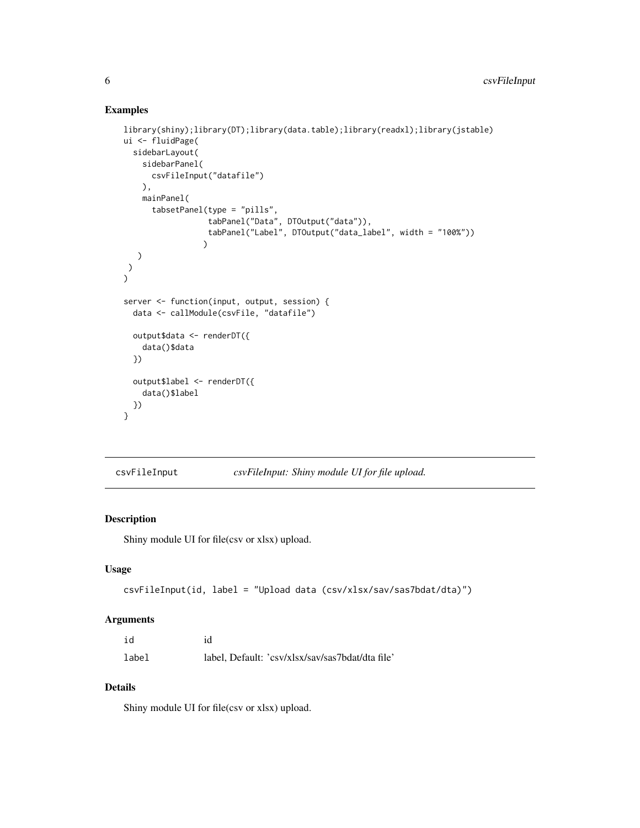# Examples

```
library(shiny);library(DT);library(data.table);library(readxl);library(jstable)
ui <- fluidPage(
  sidebarLayout(
    sidebarPanel(
      csvFileInput("datafile")
    ),
    mainPanel(
      tabsetPanel(type = "pills",
                  tabPanel("Data", DTOutput("data")),
                  tabPanel("Label", DTOutput("data_label", width = "100%"))
                 )
  )
\lambda\mathcal{L}server <- function(input, output, session) {
  data <- callModule(csvFile, "datafile")
  output$data <- renderDT({
    data()$data
  })
  output$label <- renderDT({
    data()$label
  })
}
```
csvFileInput *csvFileInput: Shiny module UI for file upload.*

#### Description

Shiny module UI for file(csv or xlsx) upload.

# Usage

```
csvFileInput(id, label = "Upload data (csv/xlsx/sav/sas7bdat/dta)")
```
# Arguments

| id    | id                                               |
|-------|--------------------------------------------------|
| label | label, Default: 'csv/xlsx/sav/sas7bdat/dta file' |

#### Details

Shiny module UI for file(csv or xlsx) upload.

<span id="page-5-0"></span>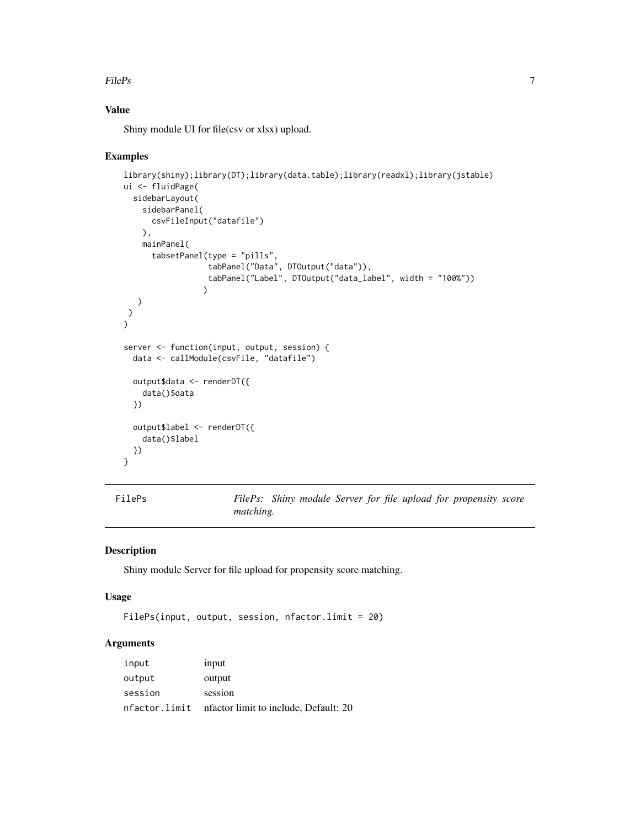#### <span id="page-6-0"></span>FilePs 7

# Value

Shiny module UI for file(csv or xlsx) upload.

#### Examples

```
library(shiny);library(DT);library(data.table);library(readxl);library(jstable)
ui <- fluidPage(
  sidebarLayout(
    sidebarPanel(
      csvFileInput("datafile")
   ),
   mainPanel(
      tabsetPanel(type = "pills",
                  tabPanel("Data", DTOutput("data")),
                  tabPanel("Label", DTOutput("data_label", width = "100%"))
                 \lambda)
)
\sumserver <- function(input, output, session) {
  data <- callModule(csvFile, "datafile")
  output$data <- renderDT({
    data()$data
  })
  output$label <- renderDT({
    data()$label
  })
}
```
FilePs *FilePs: Shiny module Server for file upload for propensity score matching.*

# Description

Shiny module Server for file upload for propensity score matching.

#### Usage

FilePs(input, output, session, nfactor.limit = 20)

# Arguments

| input         | input                                 |
|---------------|---------------------------------------|
| output        | output                                |
| session       | session                               |
| nfactor.limit | nfactor limit to include, Default: 20 |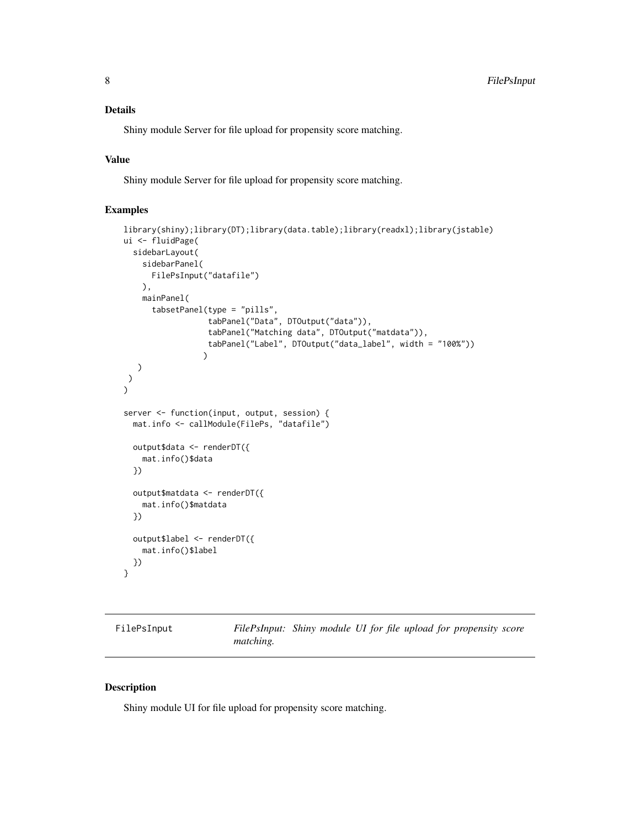# <span id="page-7-0"></span>Details

Shiny module Server for file upload for propensity score matching.

### Value

Shiny module Server for file upload for propensity score matching.

#### Examples

```
library(shiny);library(DT);library(data.table);library(readxl);library(jstable)
ui <- fluidPage(
  sidebarLayout(
    sidebarPanel(
      FilePsInput("datafile")
   ),
   mainPanel(
      tabsetPanel(type = "pills",
                  tabPanel("Data", DTOutput("data")),
                  tabPanel("Matching data", DTOutput("matdata")),
                  tabPanel("Label", DTOutput("data_label", width = "100%"))
                 )
  )
)
\mathcal{L}server <- function(input, output, session) {
  mat.info <- callModule(FilePs, "datafile")
  output$data <- renderDT({
    mat.info()$data
  })
  output$matdata <- renderDT({
   mat.info()$matdata
  })
  output$label <- renderDT({
    mat.info()$label
  })
}
```

| FilePsInput |  |
|-------------|--|
|-------------|--|

FilePsInput: Shiny module UI for file upload for propensity score *matching.*

#### Description

Shiny module UI for file upload for propensity score matching.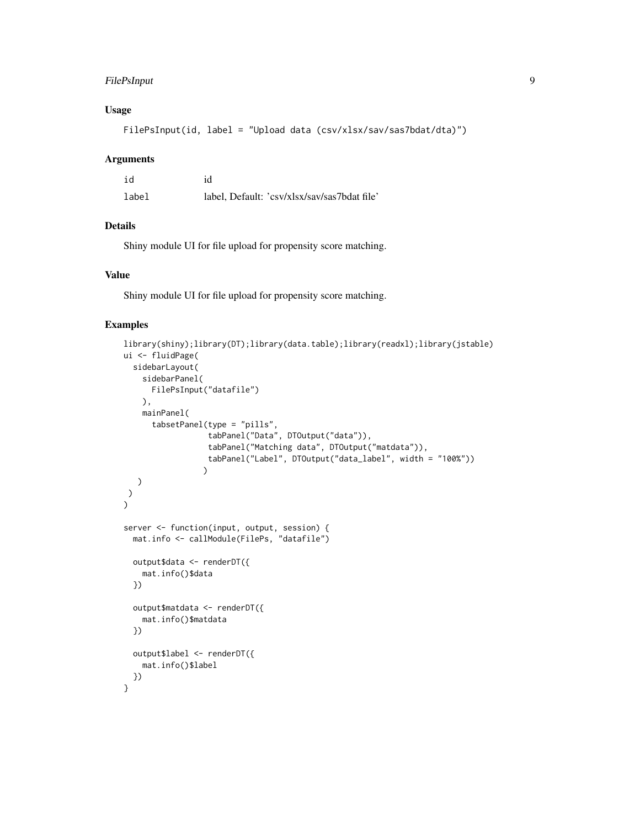# FilePsInput 9

# Usage

FilePsInput(id, label = "Upload data (csv/xlsx/sav/sas7bdat/dta)")

#### Arguments

| id    | id                                           |
|-------|----------------------------------------------|
| label | label, Default: 'csv/xlsx/sav/sas7bdat file' |

# Details

Shiny module UI for file upload for propensity score matching.

# Value

Shiny module UI for file upload for propensity score matching.

```
library(shiny);library(DT);library(data.table);library(readxl);library(jstable)
ui <- fluidPage(
  sidebarLayout(
    sidebarPanel(
      FilePsInput("datafile")
   ),
   mainPanel(
      tabsetPanel(type = "pills",
                  tabPanel("Data", DTOutput("data")),
                  tabPanel("Matching data", DTOutput("matdata")),
                  tabPanel("Label", DTOutput("data_label", width = "100%"))
                 \lambda)
 )
)
server <- function(input, output, session) {
  mat.info <- callModule(FilePs, "datafile")
  output$data <- renderDT({
   mat.info()$data
  })
  output$matdata <- renderDT({
   mat.info()$matdata
  })
  output$label <- renderDT({
   mat.info()$label
  })
}
```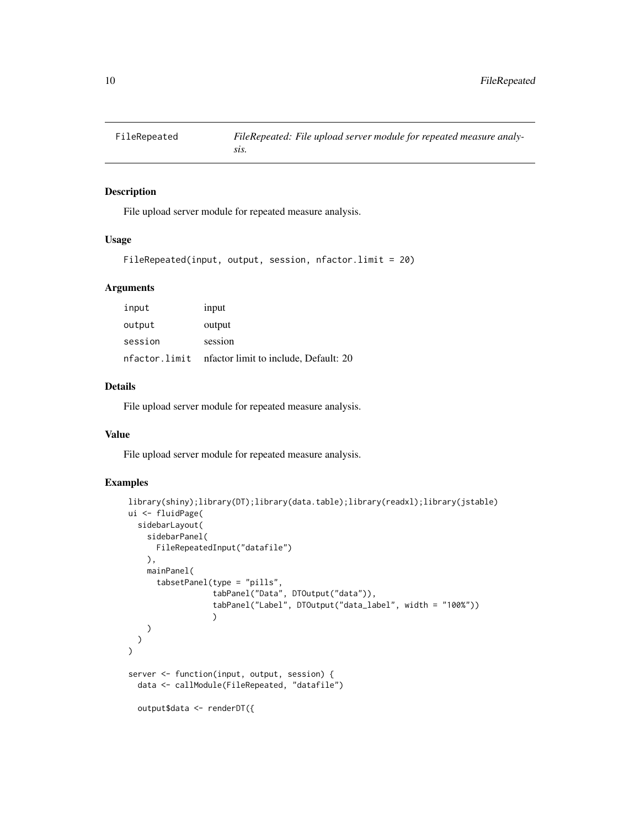<span id="page-9-0"></span>

# Description

File upload server module for repeated measure analysis.

#### Usage

```
FileRepeated(input, output, session, nfactor.limit = 20)
```
# Arguments

| input         | input                                  |
|---------------|----------------------------------------|
| output        | output                                 |
| session       | session                                |
| nfactor.limit | infactor limit to include, Default: 20 |

# Details

File upload server module for repeated measure analysis.

#### Value

File upload server module for repeated measure analysis.

```
library(shiny);library(DT);library(data.table);library(readxl);library(jstable)
ui <- fluidPage(
  sidebarLayout(
    sidebarPanel(
      FileRepeatedInput("datafile")
    ),
    mainPanel(
      tabsetPanel(type = "pills",
                  tabPanel("Data", DTOutput("data")),
                  tabPanel("Label", DTOutput("data_label", width = "100%"))
                  )
    )
 \lambda\mathcal{L}server <- function(input, output, session) {
 data <- callModule(FileRepeated, "datafile")
  output$data <- renderDT({
```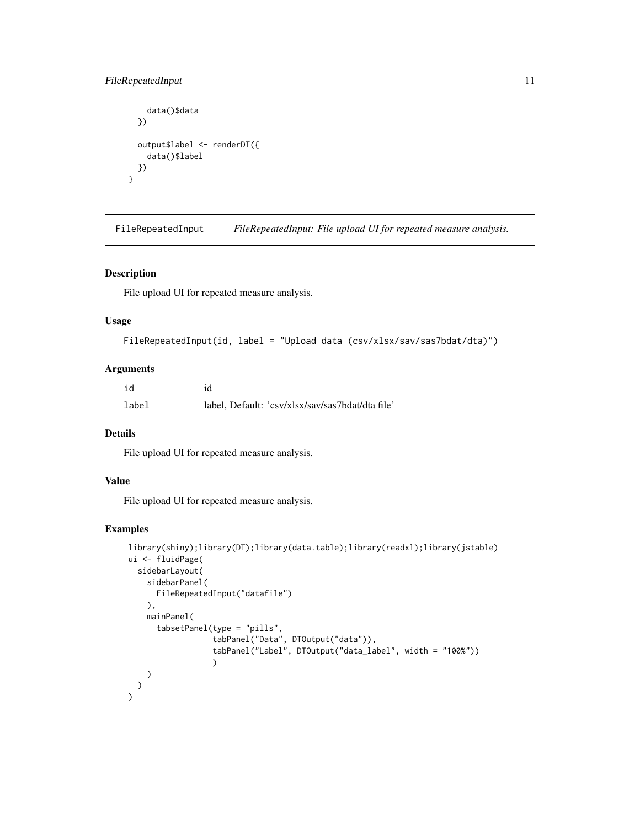# <span id="page-10-0"></span>FileRepeatedInput 11

```
data()$data
  })
  output$label <- renderDT({
    data()$label
 })
}
```
FileRepeatedInput *FileRepeatedInput: File upload UI for repeated measure analysis.*

# Description

File upload UI for repeated measure analysis.

# Usage

```
FileRepeatedInput(id, label = "Upload data (csv/xlsx/sav/sas7bdat/dta)")
```
# Arguments

| id    | id                                               |
|-------|--------------------------------------------------|
| label | label, Default: 'csv/xlsx/sav/sas7bdat/dta file' |

## Details

File upload UI for repeated measure analysis.

# Value

File upload UI for repeated measure analysis.

```
library(shiny);library(DT);library(data.table);library(readxl);library(jstable)
ui <- fluidPage(
  sidebarLayout(
    sidebarPanel(
      FileRepeatedInput("datafile")
   ),
   mainPanel(
      tabsetPanel(type = "pills",
                  tabPanel("Data", DTOutput("data")),
                  tabPanel("Label", DTOutput("data_label", width = "100%"))
                  )
   )
  )
)
```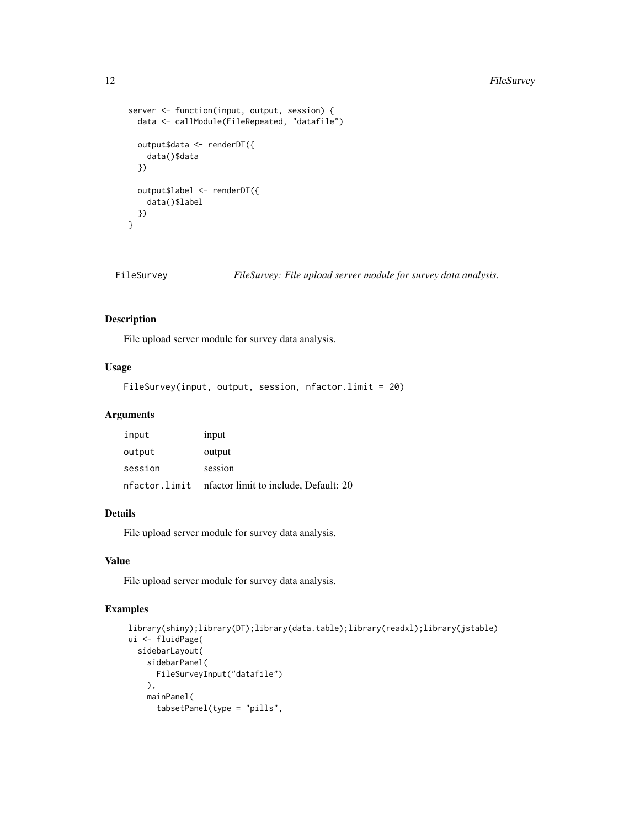```
server <- function(input, output, session) {
  data <- callModule(FileRepeated, "datafile")
 output$data <- renderDT({
    data()$data
  })
  output$label <- renderDT({
    data()$label
 })
}
```
FileSurvey *FileSurvey: File upload server module for survey data analysis.*

#### Description

File upload server module for survey data analysis.

# Usage

FileSurvey(input, output, session, nfactor.limit = 20)

#### Arguments

| input         | input                                  |
|---------------|----------------------------------------|
| output        | output                                 |
| session       | session                                |
| nfactor.limit | infactor limit to include, Default: 20 |

#### Details

File upload server module for survey data analysis.

#### Value

File upload server module for survey data analysis.

```
library(shiny);library(DT);library(data.table);library(readxl);library(jstable)
ui <- fluidPage(
  sidebarLayout(
    sidebarPanel(
     FileSurveyInput("datafile")
   ),
   mainPanel(
      tabsetPanel(type = "pills",
```
<span id="page-11-0"></span>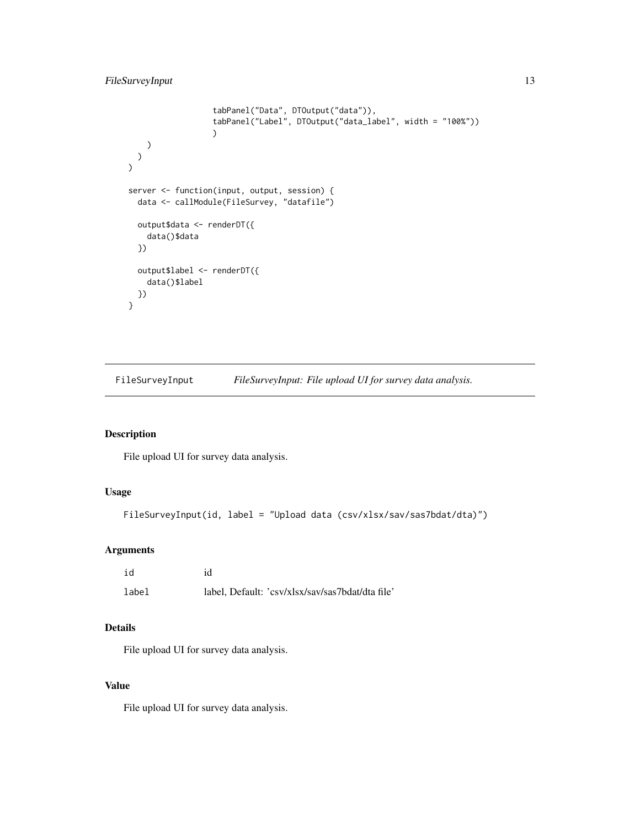```
tabPanel("Data", DTOutput("data")),
                   tabPanel("Label", DTOutput("data_label", width = "100%"))
                   )
    )
 \rightarrow\mathcal{L}server <- function(input, output, session) {
 data <- callModule(FileSurvey, "datafile")
 output$data <- renderDT({
    data()$data
  })
  output$label <- renderDT({
    data()$label
  })
}
```
FileSurveyInput *FileSurveyInput: File upload UI for survey data analysis.*

# Description

File upload UI for survey data analysis.

# Usage

```
FileSurveyInput(id, label = "Upload data (csv/xlsx/sav/sas7bdat/dta)")
```
# Arguments

| id    | id                                               |
|-------|--------------------------------------------------|
| label | label, Default: 'csv/xlsx/sav/sas7bdat/dta file' |

# Details

File upload UI for survey data analysis.

# Value

File upload UI for survey data analysis.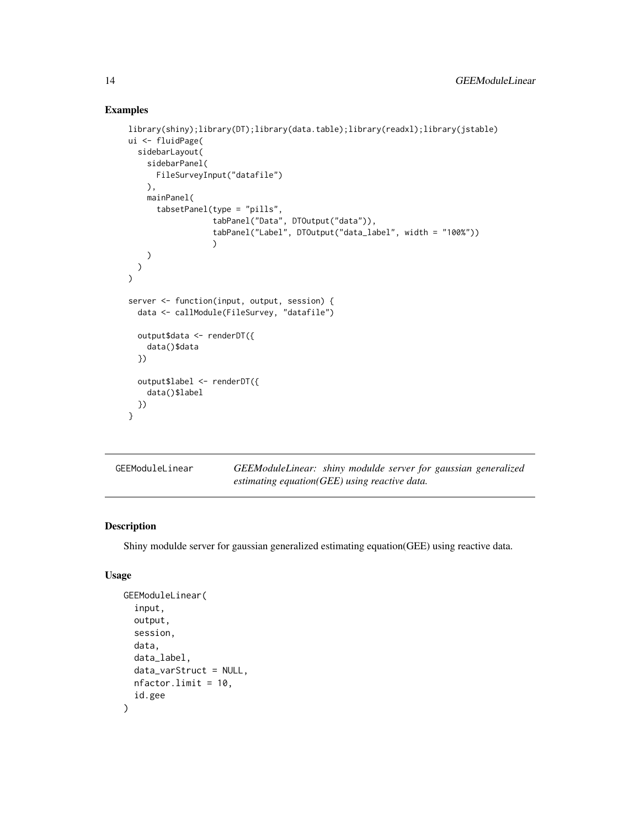# Examples

```
library(shiny);library(DT);library(data.table);library(readxl);library(jstable)
ui <- fluidPage(
  sidebarLayout(
    sidebarPanel(
      FileSurveyInput("datafile")
    ),
    mainPanel(
      tabsetPanel(type = "pills",
                  tabPanel("Data", DTOutput("data")),
                  tabPanel("Label", DTOutput("data_label", width = "100%"))
                  )
    )
 )
)
server <- function(input, output, session) {
 data <- callModule(FileSurvey, "datafile")
  output$data <- renderDT({
    data()$data
  })
  output$label <- renderDT({
    data()$label
 })
}
```

| GEEModuleLinear | GEEModuleLinear: shiny modulde server for gaussian generalized |  |  |
|-----------------|----------------------------------------------------------------|--|--|
|                 | estimating equation( $GEE$ ) using reactive data.              |  |  |

#### Description

Shiny modulde server for gaussian generalized estimating equation(GEE) using reactive data.

# Usage

```
GEEModuleLinear(
  input,
  output,
  session,
  data,
  data_label,
  data_varStruct = NULL,
 nfactor.limit = 10,
  id.gee
)
```
<span id="page-13-0"></span>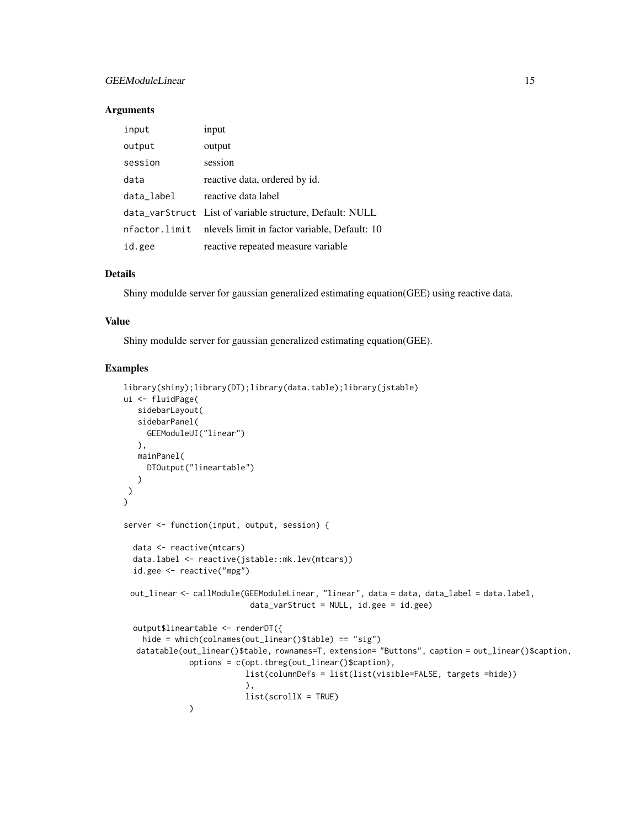# GEEModuleLinear 15

#### **Arguments**

| input      | input                                                       |
|------------|-------------------------------------------------------------|
| output     | output                                                      |
| session    | session                                                     |
| data       | reactive data, ordered by id.                               |
| data_label | reactive data label                                         |
|            | data_varStruct List of variable structure, Default: NULL    |
|            | nfactor.limit nlevels limit in factor variable, Default: 10 |
| id.gee     | reactive repeated measure variable                          |

# Details

Shiny modulde server for gaussian generalized estimating equation(GEE) using reactive data.

#### Value

Shiny modulde server for gaussian generalized estimating equation(GEE).

```
library(shiny);library(DT);library(data.table);library(jstable)
ui <- fluidPage(
  sidebarLayout(
   sidebarPanel(
    GEEModuleUI("linear")
  ),
  mainPanel(
     DTOutput("lineartable")
   )
)
\lambdaserver <- function(input, output, session) {
  data <- reactive(mtcars)
  data.label <- reactive(jstable::mk.lev(mtcars))
  id.gee <- reactive("mpg")
 out_linear <- callModule(GEEModuleLinear, "linear", data = data, data_label = data.label,
                           data_varStruct = NULL, id.gee = id.gee)
  output$lineartable <- renderDT({
   hide = which(colnames(out_linear()$table) == "sig")
  datatable(out_linear()$table, rownames=T, extension= "Buttons", caption = out_linear()$caption,
              options = c(opt.tbreg(out_linear()$caption),
                          list(columnDefs = list(list(visible=FALSE, targets =hide))
                          ),
                          list(scrollX = TRUE))
```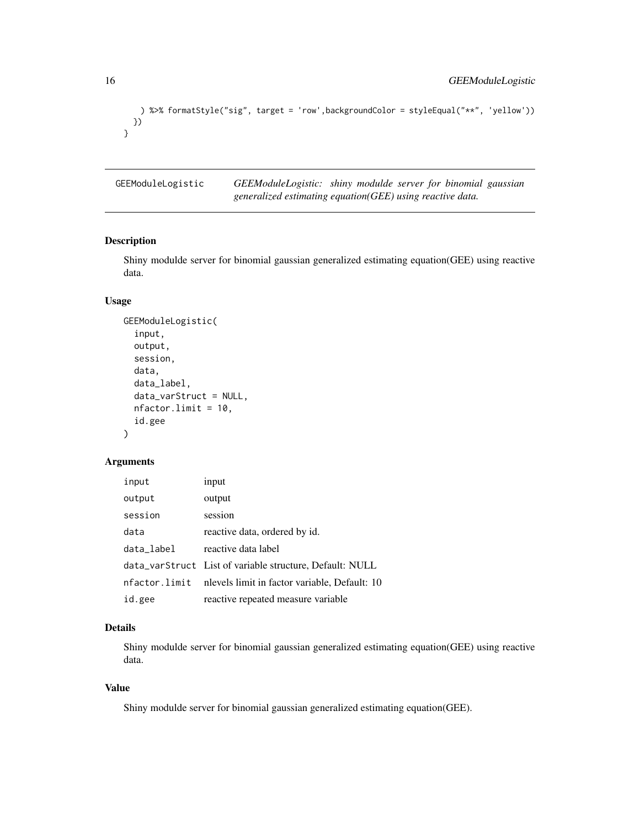```
) %>% formatStyle("sig", target = 'row',backgroundColor = styleEqual("**", 'yellow'))
 })
}
```
GEEModuleLogistic *GEEModuleLogistic: shiny modulde server for binomial gaussian generalized estimating equation(GEE) using reactive data.*

# Description

Shiny modulde server for binomial gaussian generalized estimating equation(GEE) using reactive data.

#### Usage

```
GEEModuleLogistic(
  input,
  output,
  session,
  data,
  data_label,
  data_varStruct = NULL,
  nfactor.limit = 10,
  id.gee
)
```
# Arguments

| input      | input                                                       |
|------------|-------------------------------------------------------------|
| output     | output                                                      |
| session    | session                                                     |
| data       | reactive data, ordered by id.                               |
| data_label | reactive data label                                         |
|            | data_varStruct List of variable structure, Default: NULL    |
|            | nfactor.limit nlevels limit in factor variable, Default: 10 |
| id.gee     | reactive repeated measure variable                          |

# Details

Shiny modulde server for binomial gaussian generalized estimating equation(GEE) using reactive data.

# Value

Shiny modulde server for binomial gaussian generalized estimating equation(GEE).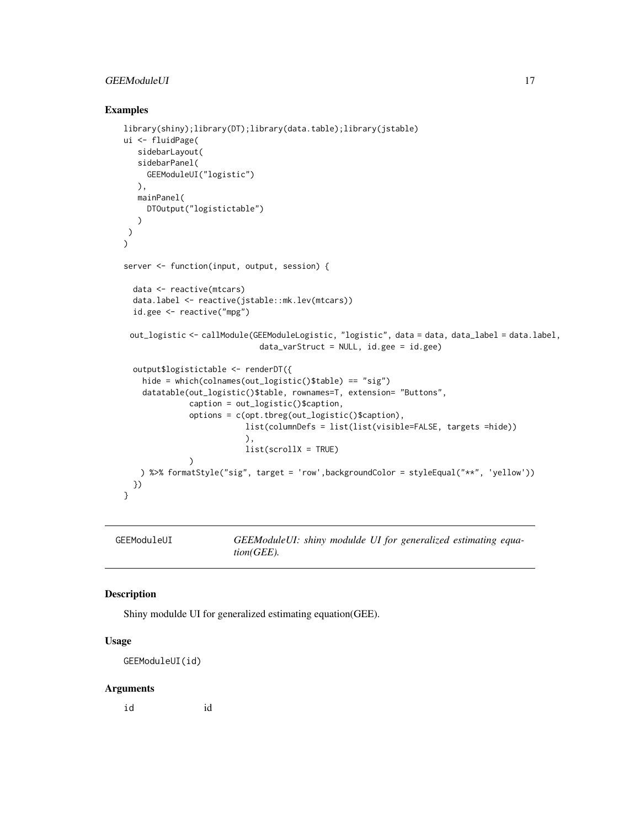# <span id="page-16-0"></span>GEEModuleUI 17

#### Examples

```
library(shiny);library(DT);library(data.table);library(jstable)
ui <- fluidPage(
   sidebarLayout(
  sidebarPanel(
     GEEModuleUI("logistic")
  ),
  mainPanel(
    DTOutput("logistictable")
  )
)
\mathcal{L}server <- function(input, output, session) {
 data <- reactive(mtcars)
 data.label <- reactive(jstable::mk.lev(mtcars))
 id.gee <- reactive("mpg")
 out_logistic <- callModule(GEEModuleLogistic, "logistic", data = data, data_label = data.label,
                             data_varStruct = NULL, id.gee = id.gee)
 output$logistictable <- renderDT({
   hide = which(colnames(out_logistic()$table) == "sig")
    datatable(out_logistic()$table, rownames=T, extension= "Buttons",
              caption = out_logistic()$caption,
              options = c(opt.tbreg(out_logistic()$caption),
                          list(columnDefs = list(list(visible=FALSE, targets =hide))
                          ),
                          list(scrollX = TRUE)
              )
   ) %>% formatStyle("sig", target = 'row',backgroundColor = styleEqual("**", 'yellow'))
 })
}
```

| GEEModuleUI | GEEModuleUI: shiny modulde UI for generalized estimating equa- |  |  |  |
|-------------|----------------------------------------------------------------|--|--|--|
|             | $tion(GEE)$ .                                                  |  |  |  |

#### Description

Shiny modulde UI for generalized estimating equation(GEE).

# Usage

GEEModuleUI(id)

#### Arguments

id id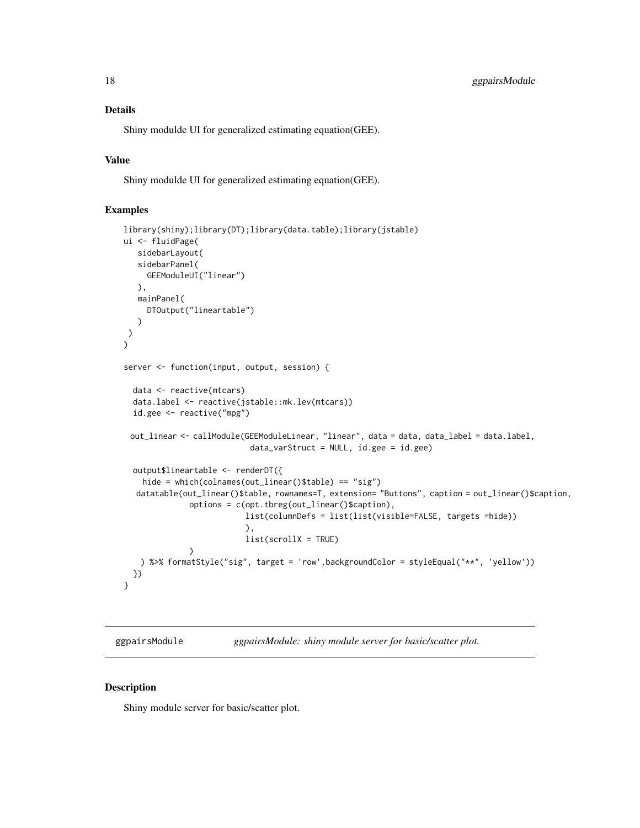# <span id="page-17-0"></span>Details

Shiny modulde UI for generalized estimating equation(GEE).

#### Value

Shiny modulde UI for generalized estimating equation(GEE).

#### Examples

```
library(shiny);library(DT);library(data.table);library(jstable)
ui <- fluidPage(
  sidebarLayout(
   sidebarPanel(
     GEEModuleUI("linear")
  ),
  mainPanel(
    DTOutput("lineartable")
  )
)
)
server <- function(input, output, session) {
 data <- reactive(mtcars)
 data.label <- reactive(jstable::mk.lev(mtcars))
 id.gee <- reactive("mpg")
 out_linear <- callModule(GEEModuleLinear, "linear", data = data, data_label = data.label,
                           data_varStruct = NULL, id.gee = id.gee)
 output$lineartable <- renderDT({
   hide = which(colnames(out_linear()$table) == "sig")
  datatable(out_linear()$table, rownames=T, extension= "Buttons", caption = out_linear()$caption,
              options = c(opt.tbreg(out_linear()$caption),
                          list(columnDefs = list(list(visible=FALSE, targets =hide))
                          ),
                          list(scrollX = TRUE)
              )
   ) %>% formatStyle("sig", target = 'row',backgroundColor = styleEqual("**", 'yellow'))
 })
}
```
ggpairsModule *ggpairsModule: shiny module server for basic/scatter plot.*

#### Description

Shiny module server for basic/scatter plot.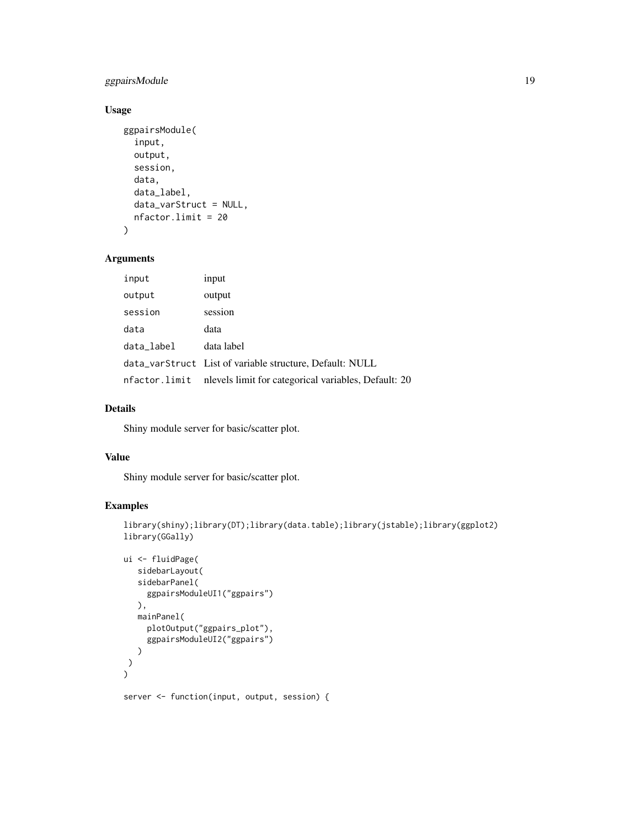# ggpairsModule 19

# Usage

```
ggpairsModule(
  input,
  output,
  session,
  data,
  data_label,
  data_varStruct = NULL,
  nfactor.limit = 20
\mathcal{L}
```
# Arguments

| input      | input                                                              |
|------------|--------------------------------------------------------------------|
| output     | output                                                             |
| session    | session                                                            |
| data       | data                                                               |
| data_label | data label                                                         |
|            | data_varStruct List of variable structure, Default: NULL           |
|            | nfactor.limit nlevels limit for categorical variables, Default: 20 |

# Details

Shiny module server for basic/scatter plot.

#### Value

Shiny module server for basic/scatter plot.

```
library(shiny);library(DT);library(data.table);library(jstable);library(ggplot2)
library(GGally)
```

```
ui <- fluidPage(
   sidebarLayout(
   sidebarPanel(
     ggpairsModuleUI1("ggpairs")
  ),
  mainPanel(
     plotOutput("ggpairs_plot"),
     ggpairsModuleUI2("ggpairs")
  )
 )
)
server <- function(input, output, session) {
```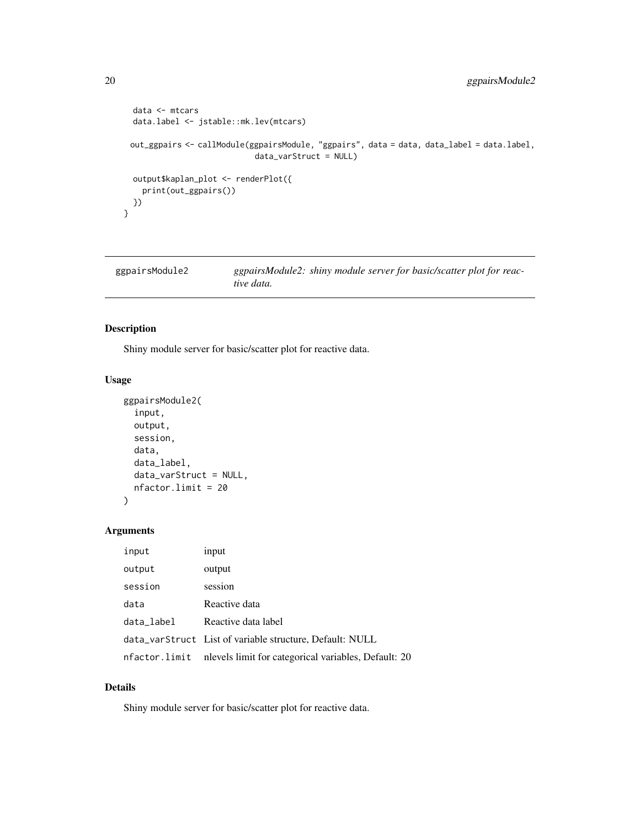```
data <- mtcars
data.label <- jstable::mk.lev(mtcars)
out_ggpairs <- callModule(ggpairsModule, "ggpairs", data = data, data_label = data.label,
                           data_varStruct = NULL)
output$kaplan_plot <- renderPlot({
  print(out_ggpairs())
})
```

```
ggpairsModule2 ggpairsModule2: shiny module server for basic/scatter plot for reac-
                        tive data.
```
# Description

}

Shiny module server for basic/scatter plot for reactive data.

# Usage

```
ggpairsModule2(
  input,
 output,
  session,
  data,
  data_label,
  data_varStruct = NULL,
  nfactor.limit = 20
)
```
# Arguments

| input      | input                                                              |
|------------|--------------------------------------------------------------------|
| output     | output                                                             |
| session    | session                                                            |
| data       | Reactive data                                                      |
| data_label | Reactive data label                                                |
|            | data_varStruct List of variable structure, Default: NULL           |
|            | nfactor.limit nlevels limit for categorical variables, Default: 20 |

#### Details

Shiny module server for basic/scatter plot for reactive data.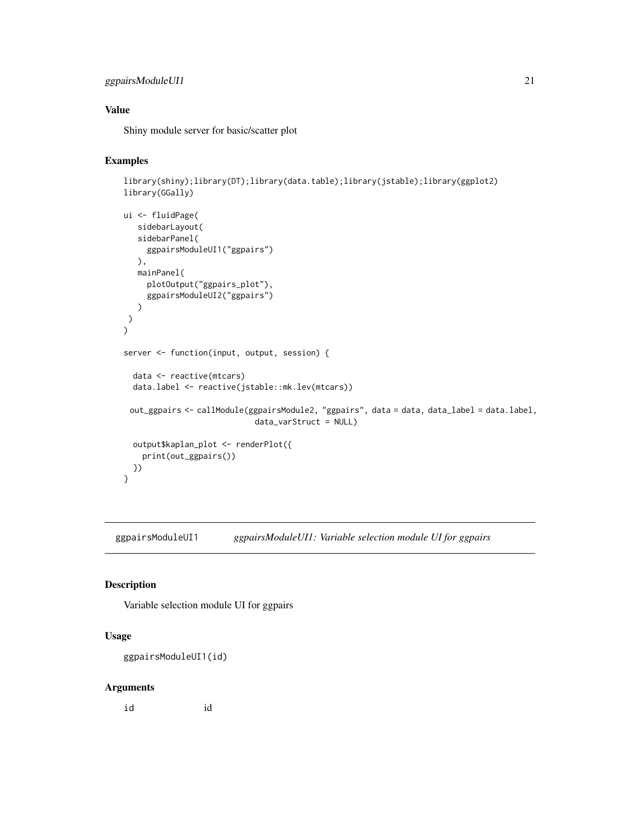# <span id="page-20-0"></span>ggpairsModuleUI1 21

# Value

Shiny module server for basic/scatter plot

# Examples

```
library(shiny);library(DT);library(data.table);library(jstable);library(ggplot2)
library(GGally)
```

```
ui <- fluidPage(
  sidebarLayout(
  sidebarPanel(
     ggpairsModuleUI1("ggpairs")
  ),
  mainPanel(
     plotOutput("ggpairs_plot"),
     ggpairsModuleUI2("ggpairs")
  \lambda)
)
server <- function(input, output, session) {
 data <- reactive(mtcars)
 data.label <- reactive(jstable::mk.lev(mtcars))
 out_ggpairs <- callModule(ggpairsModule2, "ggpairs", data = data, data_label = data.label,
                            data_varStruct = NULL)
 output$kaplan_plot <- renderPlot({
   print(out_ggpairs())
 })
}
```
ggpairsModuleUI1 *ggpairsModuleUI1: Variable selection module UI for ggpairs*

#### Description

Variable selection module UI for ggpairs

#### Usage

ggpairsModuleUI1(id)

#### Arguments

id id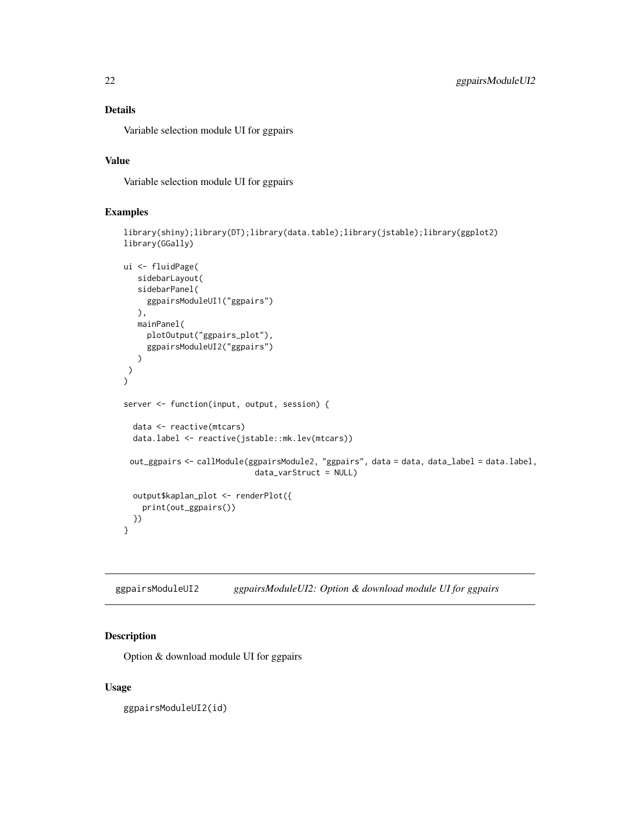# <span id="page-21-0"></span>Details

Variable selection module UI for ggpairs

# Value

Variable selection module UI for ggpairs

# Examples

```
library(shiny);library(DT);library(data.table);library(jstable);library(ggplot2)
library(GGally)
```

```
ui <- fluidPage(
  sidebarLayout(
   sidebarPanel(
     ggpairsModuleUI1("ggpairs")
  ),
  mainPanel(
     plotOutput("ggpairs_plot"),
     ggpairsModuleUI2("ggpairs")
   )
)
\lambdaserver <- function(input, output, session) {
  data <- reactive(mtcars)
  data.label <- reactive(jstable::mk.lev(mtcars))
 out_ggpairs <- callModule(ggpairsModule2, "ggpairs", data = data, data_label = data.label,
                            data_varStruct = NULL)
  output$kaplan_plot <- renderPlot({
    print(out_ggpairs())
  })
}
```
ggpairsModuleUI2 *ggpairsModuleUI2: Option & download module UI for ggpairs*

# Description

Option & download module UI for ggpairs

#### Usage

ggpairsModuleUI2(id)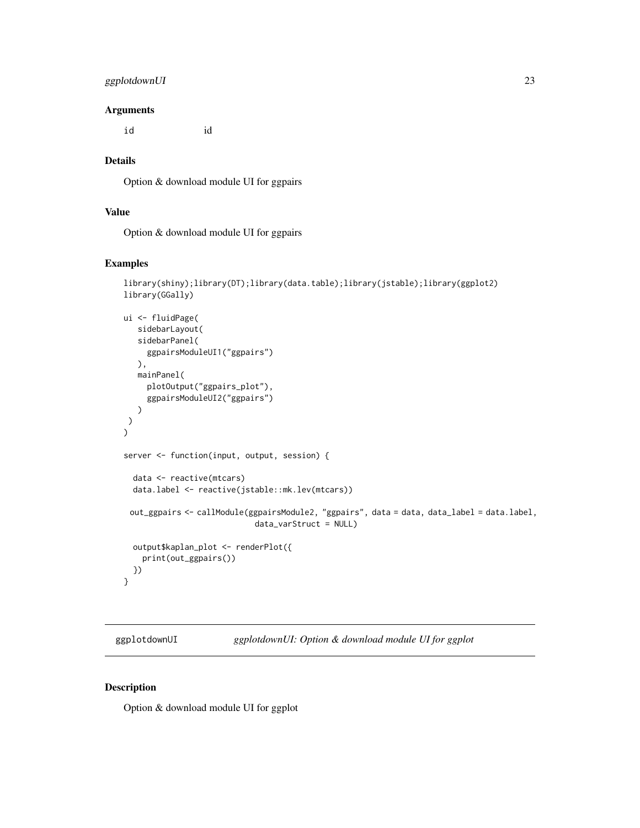# <span id="page-22-0"></span>ggplotdownUI 23

#### **Arguments**

id id

# Details

Option & download module UI for ggpairs

# Value

Option & download module UI for ggpairs

#### Examples

```
library(shiny);library(DT);library(data.table);library(jstable);library(ggplot2)
library(GGally)
ui <- fluidPage(
   sidebarLayout(
   sidebarPanel(
     ggpairsModuleUI1("ggpairs")
   ),
   mainPanel(
     plotOutput("ggpairs_plot"),
     ggpairsModuleUI2("ggpairs")
  )
 )
)
server <- function(input, output, session) {
  data <- reactive(mtcars)
  data.label <- reactive(jstable::mk.lev(mtcars))
 out_ggpairs <- callModule(ggpairsModule2, "ggpairs", data = data, data_label = data.label,
                            data_varStruct = NULL)
  output$kaplan_plot <- renderPlot({
    print(out_ggpairs())
  })
}
```
ggplotdownUI *ggplotdownUI: Option & download module UI for ggplot*

#### Description

Option & download module UI for ggplot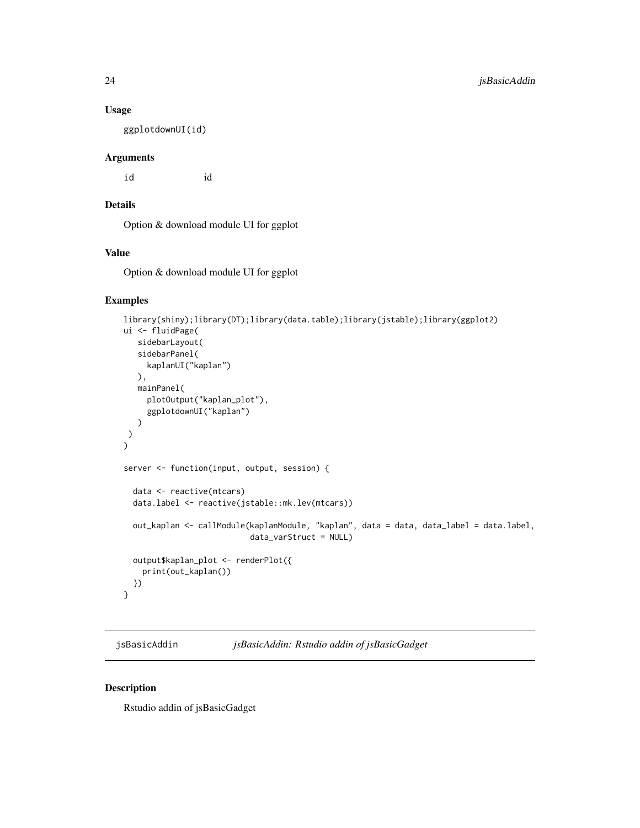#### Usage

ggplotdownUI(id)

#### Arguments

id id

# Details

Option & download module UI for ggplot

# Value

Option & download module UI for ggplot

# Examples

```
library(shiny);library(DT);library(data.table);library(jstable);library(ggplot2)
ui <- fluidPage(
   sidebarLayout(
   sidebarPanel(
    kaplanUI("kaplan")
  ),
  mainPanel(
    plotOutput("kaplan_plot"),
     ggplotdownUI("kaplan")
  )
\lambda)
server <- function(input, output, session) {
  data <- reactive(mtcars)
  data.label <- reactive(jstable::mk.lev(mtcars))
  out_kaplan <- callModule(kaplanModule, "kaplan", data = data, data_label = data.label,
                           data_varStruct = NULL)
  output$kaplan_plot <- renderPlot({
   print(out_kaplan())
  })
}
```
jsBasicAddin *jsBasicAddin: Rstudio addin of jsBasicGadget*

#### Description

Rstudio addin of jsBasicGadget

<span id="page-23-0"></span>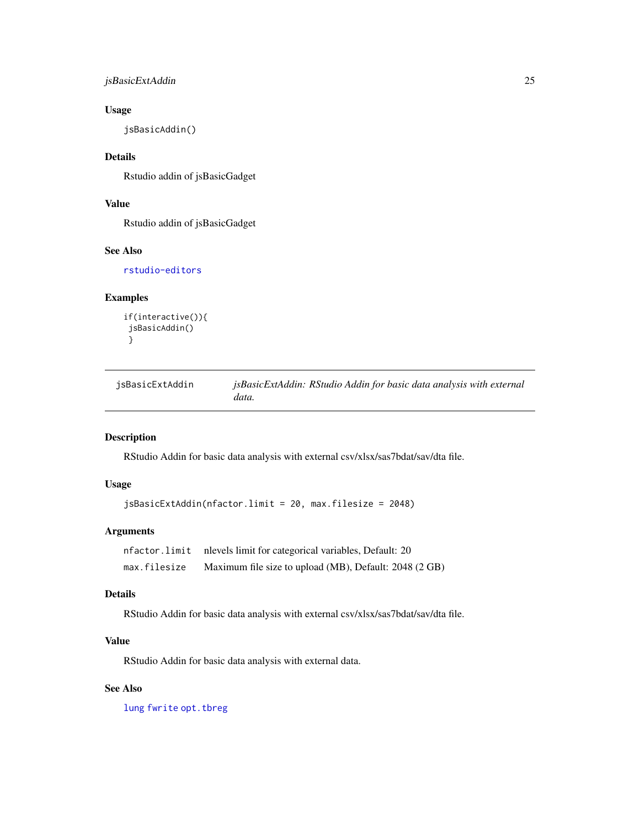# <span id="page-24-0"></span>jsBasicExtAddin 25

# Usage

jsBasicAddin()

# Details

Rstudio addin of jsBasicGadget

# Value

Rstudio addin of jsBasicGadget

# See Also

[rstudio-editors](#page-0-0)

# Examples

```
if(interactive()){
jsBasicAddin()
}
```

| jsBasicExtAddin | jsBasicExtAddin: RStudio Addin for basic data analysis with external |  |  |  |  |
|-----------------|----------------------------------------------------------------------|--|--|--|--|
|                 | data.                                                                |  |  |  |  |

# Description

RStudio Addin for basic data analysis with external csv/xlsx/sas7bdat/sav/dta file.

# Usage

jsBasicExtAddin(nfactor.limit = 20, max.filesize = 2048)

# Arguments

|              | nfactor.limit nlevels limit for categorical variables, Default: 20 |
|--------------|--------------------------------------------------------------------|
| max.filesize | Maximum file size to upload (MB), Default: 2048 (2 GB)             |

# Details

RStudio Addin for basic data analysis with external csv/xlsx/sas7bdat/sav/dta file.

# Value

RStudio Addin for basic data analysis with external data.

# See Also

[lung](#page-0-0) [fwrite](#page-0-0) [opt.tbreg](#page-0-0)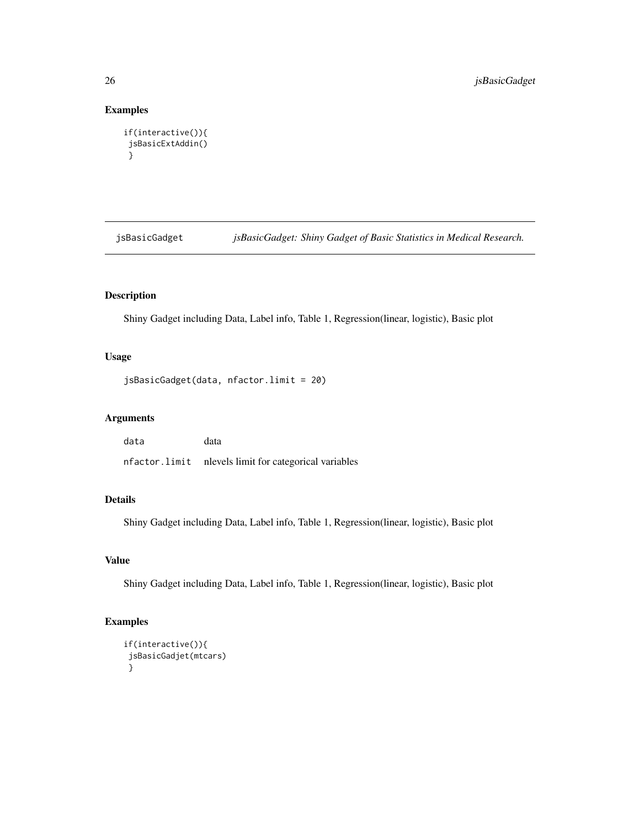# Examples

```
if(interactive()){
jsBasicExtAddin()
}
```
jsBasicGadget *jsBasicGadget: Shiny Gadget of Basic Statistics in Medical Research.*

# Description

Shiny Gadget including Data, Label info, Table 1, Regression(linear, logistic), Basic plot

# Usage

```
jsBasicGadget(data, nfactor.limit = 20)
```
# Arguments

data data nfactor.limit nlevels limit for categorical variables

# Details

Shiny Gadget including Data, Label info, Table 1, Regression(linear, logistic), Basic plot

# Value

Shiny Gadget including Data, Label info, Table 1, Regression(linear, logistic), Basic plot

```
if(interactive()){
jsBasicGadjet(mtcars)
}
```
<span id="page-25-0"></span>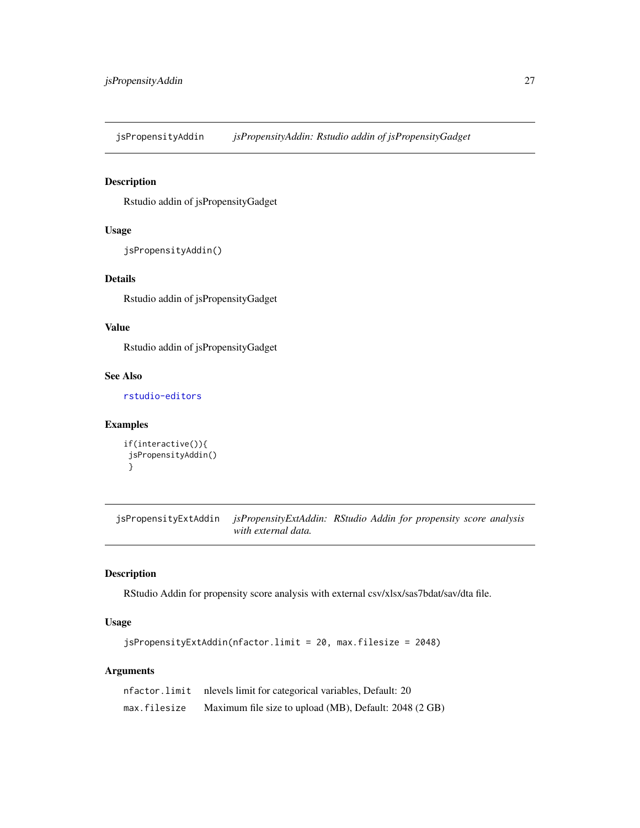<span id="page-26-0"></span>jsPropensityAddin *jsPropensityAddin: Rstudio addin of jsPropensityGadget*

#### Description

Rstudio addin of jsPropensityGadget

# Usage

```
jsPropensityAddin()
```
# Details

Rstudio addin of jsPropensityGadget

# Value

Rstudio addin of jsPropensityGadget

# See Also

[rstudio-editors](#page-0-0)

# Examples

```
if(interactive()){
jsPropensityAddin()
}
```
jsPropensityExtAddin *jsPropensityExtAddin: RStudio Addin for propensity score analysis with external data.*

#### Description

RStudio Addin for propensity score analysis with external csv/xlsx/sas7bdat/sav/dta file.

# Usage

```
jsPropensityExtAddin(nfactor.limit = 20, max.filesize = 2048)
```
# Arguments

|              | nfactor.limit nlevels limit for categorical variables, Default: 20 |
|--------------|--------------------------------------------------------------------|
| max.filesize | Maximum file size to upload (MB), Default: 2048 (2 GB)             |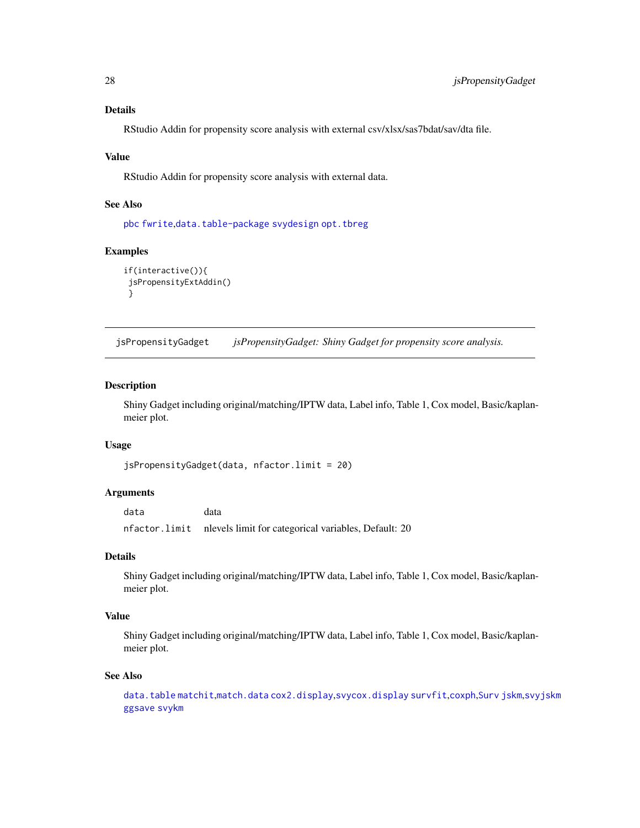# <span id="page-27-0"></span>Details

RStudio Addin for propensity score analysis with external csv/xlsx/sas7bdat/sav/dta file.

#### Value

RStudio Addin for propensity score analysis with external data.

#### See Also

[pbc](#page-0-0) [fwrite](#page-0-0),[data.table-package](#page-0-0) [svydesign](#page-0-0) [opt.tbreg](#page-0-0)

#### Examples

```
if(interactive()){
 jsPropensityExtAddin()
}
```
jsPropensityGadget *jsPropensityGadget: Shiny Gadget for propensity score analysis.*

# Description

Shiny Gadget including original/matching/IPTW data, Label info, Table 1, Cox model, Basic/kaplanmeier plot.

#### Usage

```
jsPropensityGadget(data, nfactor.limit = 20)
```
#### Arguments

data data nfactor.limit nlevels limit for categorical variables, Default: 20

# Details

Shiny Gadget including original/matching/IPTW data, Label info, Table 1, Cox model, Basic/kaplanmeier plot.

# Value

Shiny Gadget including original/matching/IPTW data, Label info, Table 1, Cox model, Basic/kaplanmeier plot.

#### See Also

[data.table](#page-0-0) [matchit](#page-0-0),[match.data](#page-0-0) [cox2.display](#page-0-0),[svycox.display](#page-0-0) [survfit](#page-0-0),[coxph](#page-0-0),[Surv](#page-0-0) [jskm](#page-0-0),[svyjskm](#page-0-0) [ggsave](#page-0-0) [svykm](#page-0-0)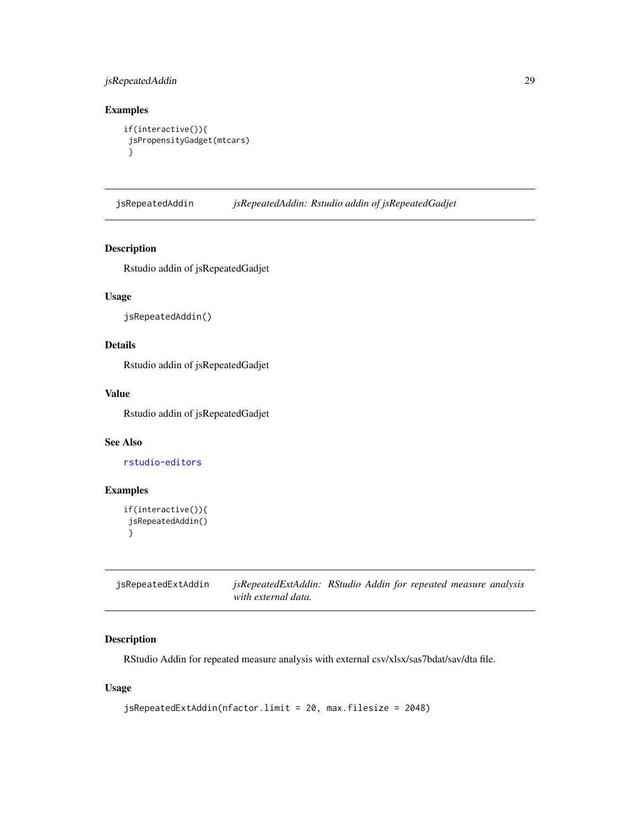# <span id="page-28-0"></span>jsRepeatedAddin 29

# Examples

```
if(interactive()){
jsPropensityGadget(mtcars)
}
```
jsRepeatedAddin *jsRepeatedAddin: Rstudio addin of jsRepeatedGadjet*

# Description

Rstudio addin of jsRepeatedGadjet

# Usage

```
jsRepeatedAddin()
```
# Details

Rstudio addin of jsRepeatedGadjet

# Value

Rstudio addin of jsRepeatedGadjet

# See Also

[rstudio-editors](#page-0-0)

# Examples

```
if(interactive()){
jsRepeatedAddin()
}
```
jsRepeatedExtAddin *jsRepeatedExtAddin: RStudio Addin for repeated measure analysis with external data.*

# Description

RStudio Addin for repeated measure analysis with external csv/xlsx/sas7bdat/sav/dta file.

# Usage

```
jsRepeatedExtAddin(nfactor.limit = 20, max.filesize = 2048)
```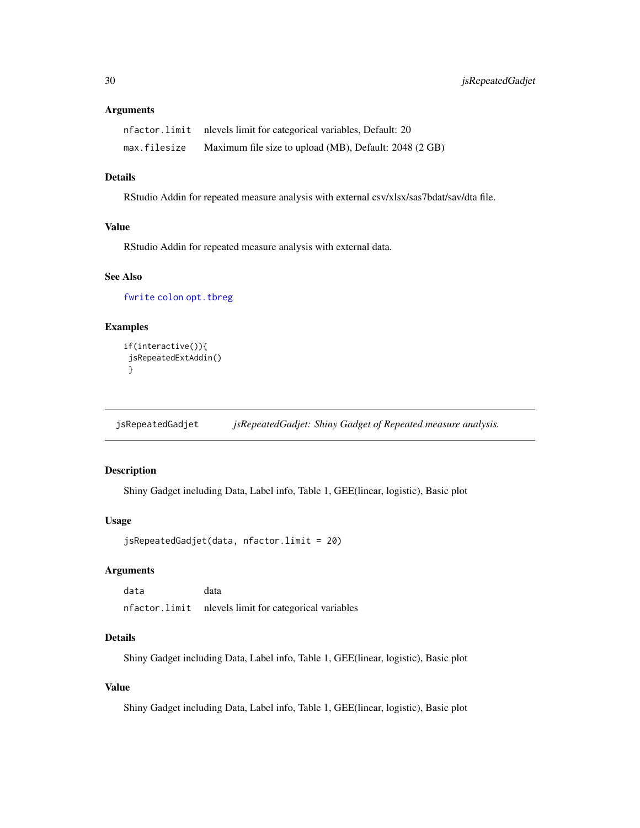#### <span id="page-29-0"></span>Arguments

|              | nfactor.limit nlevels limit for categorical variables, Default: 20 |
|--------------|--------------------------------------------------------------------|
| max.filesize | Maximum file size to upload (MB), Default: 2048 (2 GB)             |

## Details

RStudio Addin for repeated measure analysis with external csv/xlsx/sas7bdat/sav/dta file.

# Value

RStudio Addin for repeated measure analysis with external data.

### See Also

[fwrite](#page-0-0) [colon](#page-0-0) [opt.tbreg](#page-0-0)

# Examples

```
if(interactive()){
jsRepeatedExtAddin()
}
```
jsRepeatedGadjet *jsRepeatedGadjet: Shiny Gadget of Repeated measure analysis.*

# Description

Shiny Gadget including Data, Label info, Table 1, GEE(linear, logistic), Basic plot

#### Usage

```
jsRepeatedGadjet(data, nfactor.limit = 20)
```
# Arguments

data data nfactor.limit nlevels limit for categorical variables

# Details

Shiny Gadget including Data, Label info, Table 1, GEE(linear, logistic), Basic plot

#### Value

Shiny Gadget including Data, Label info, Table 1, GEE(linear, logistic), Basic plot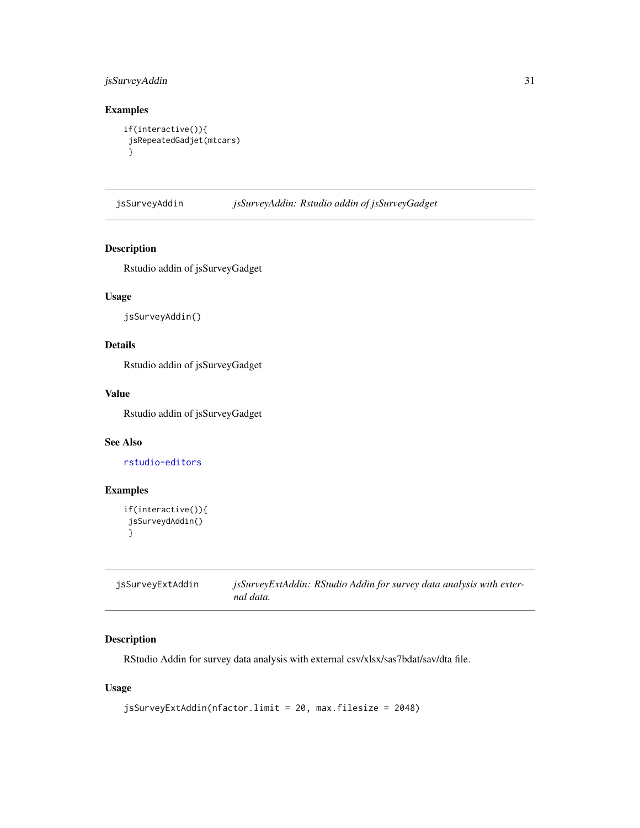# <span id="page-30-0"></span>jsSurveyAddin 31

# Examples

```
if(interactive()){
jsRepeatedGadjet(mtcars)
}
```
jsSurveyAddin *jsSurveyAddin: Rstudio addin of jsSurveyGadget*

# Description

Rstudio addin of jsSurveyGadget

# Usage

jsSurveyAddin()

# Details

Rstudio addin of jsSurveyGadget

# Value

Rstudio addin of jsSurveyGadget

#### See Also

[rstudio-editors](#page-0-0)

# Examples

```
if(interactive()){
jsSurveydAddin()
}
```

| jsSurveyExtAddin | jsSurveyExtAddin: RStudio Addin for survey data analysis with exter- |
|------------------|----------------------------------------------------------------------|
|                  | nal data.                                                            |

# Description

RStudio Addin for survey data analysis with external csv/xlsx/sas7bdat/sav/dta file.

# Usage

```
jsSurveyExtAddin(nfactor.limit = 20, max.filesize = 2048)
```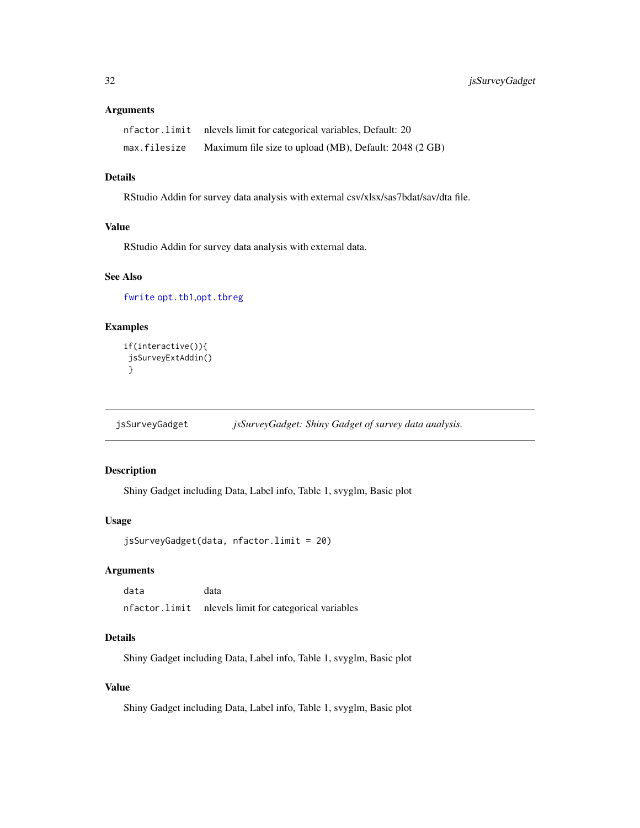#### <span id="page-31-0"></span>Arguments

|              | nfactor.limit nlevels limit for categorical variables, Default: 20 |
|--------------|--------------------------------------------------------------------|
| max.filesize | Maximum file size to upload (MB), Default: 2048 (2 GB)             |

#### Details

RStudio Addin for survey data analysis with external csv/xlsx/sas7bdat/sav/dta file.

# Value

RStudio Addin for survey data analysis with external data.

# See Also

[fwrite](#page-0-0) [opt.tb1](#page-0-0),[opt.tbreg](#page-0-0)

# Examples

```
if(interactive()){
jsSurveyExtAddin()
}
```
jsSurveyGadget *jsSurveyGadget: Shiny Gadget of survey data analysis.*

# Description

Shiny Gadget including Data, Label info, Table 1, svyglm, Basic plot

# Usage

```
jsSurveyGadget(data, nfactor.limit = 20)
```
# Arguments

data data nfactor.limit nlevels limit for categorical variables

#### Details

Shiny Gadget including Data, Label info, Table 1, svyglm, Basic plot

#### Value

Shiny Gadget including Data, Label info, Table 1, svyglm, Basic plot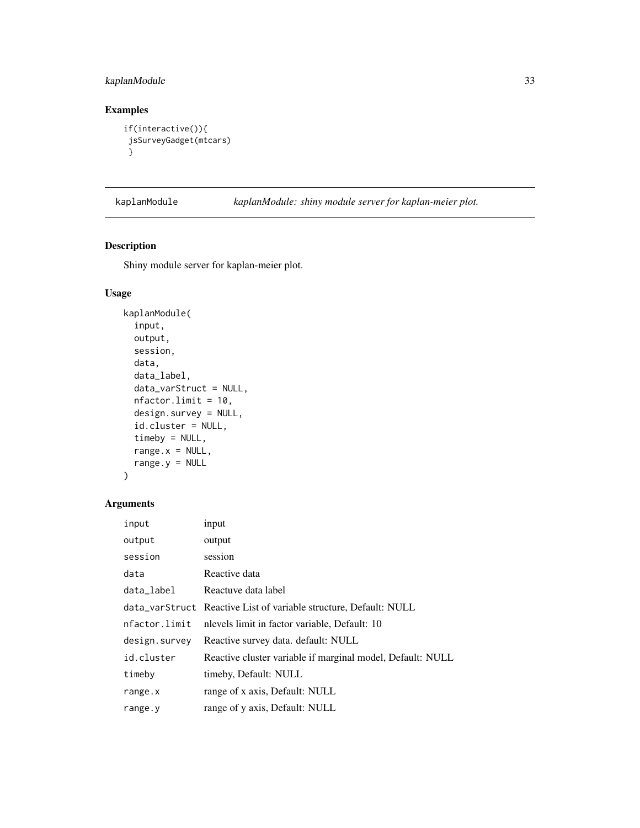# <span id="page-32-0"></span>kaplanModule 33

# Examples

```
if(interactive()){
jsSurveyGadget(mtcars)
}
```
kaplanModule *kaplanModule: shiny module server for kaplan-meier plot.*

# Description

Shiny module server for kaplan-meier plot.

# Usage

```
kaplanModule(
  input,
  output,
  session,
  data,
  data_label,
  data_varStruct = NULL,
  nfactor.limit = 10,
  design.survey = NULL,
  id.cluster = NULL,
  timeby = NULL,
  range.x = NULL,
  range.y = NULL)
```
# Arguments

| input         | input                                                             |
|---------------|-------------------------------------------------------------------|
| output        | output                                                            |
| session       | session                                                           |
| data          | Reactive data                                                     |
| data_label    | Reactuve data label                                               |
|               | data_varStruct Reactive List of variable structure, Default: NULL |
| nfactor.limit | nlevels limit in factor variable, Default: 10                     |
| design.survey | Reactive survey data. default: NULL                               |
| id.cluster    | Reactive cluster variable if marginal model, Default: NULL        |
| timeby        | timeby, Default: NULL                                             |
| range.x       | range of x axis, Default: NULL                                    |
| range.y       | range of y axis, Default: NULL                                    |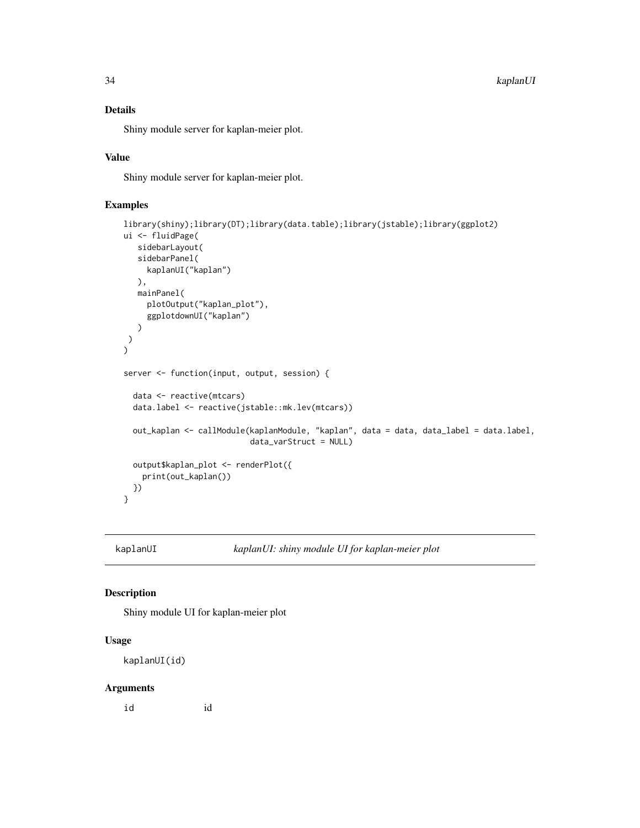# Details

Shiny module server for kaplan-meier plot.

#### Value

Shiny module server for kaplan-meier plot.

# Examples

```
library(shiny);library(DT);library(data.table);library(jstable);library(ggplot2)
ui <- fluidPage(
  sidebarLayout(
   sidebarPanel(
     kaplanUI("kaplan")
  ),
  mainPanel(
     plotOutput("kaplan_plot"),
     ggplotdownUI("kaplan")
  )
)
\mathcal{L}server <- function(input, output, session) {
 data <- reactive(mtcars)
 data.label <- reactive(jstable::mk.lev(mtcars))
 out_kaplan <- callModule(kaplanModule, "kaplan", data = data, data_label = data.label,
                           data_varStruct = NULL)
 output$kaplan_plot <- renderPlot({
   print(out_kaplan())
 })
}
```
kaplanUI *kaplanUI: shiny module UI for kaplan-meier plot*

#### Description

Shiny module UI for kaplan-meier plot

#### Usage

kaplanUI(id)

#### Arguments

id id

<span id="page-33-0"></span>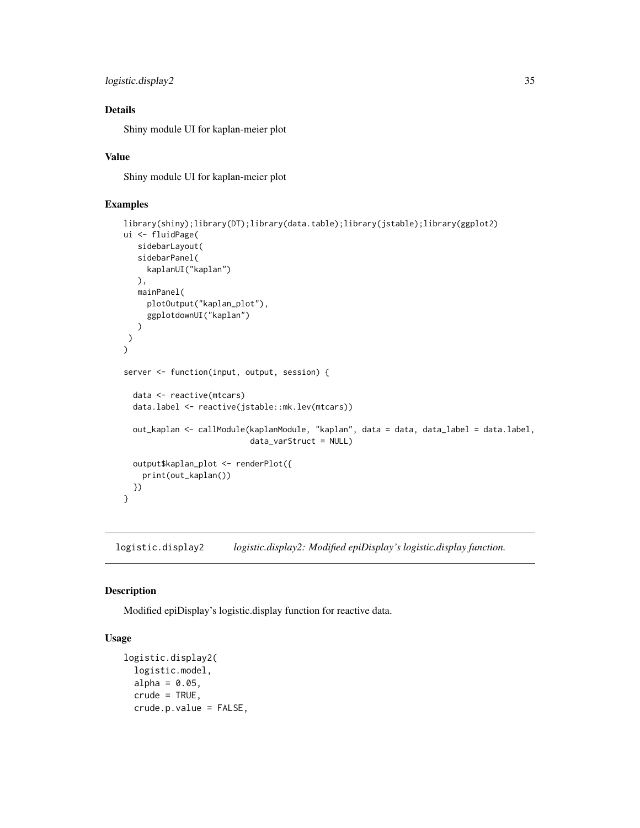```
logistic.display2 35
```
# Details

Shiny module UI for kaplan-meier plot

#### Value

Shiny module UI for kaplan-meier plot

# Examples

```
library(shiny);library(DT);library(data.table);library(jstable);library(ggplot2)
ui <- fluidPage(
  sidebarLayout(
  sidebarPanel(
     kaplanUI("kaplan")
  ),
  mainPanel(
     plotOutput("kaplan_plot"),
     ggplotdownUI("kaplan")
  )
)
)
server <- function(input, output, session) {
 data <- reactive(mtcars)
 data.label <- reactive(jstable::mk.lev(mtcars))
 out_kaplan <- callModule(kaplanModule, "kaplan", data = data, data_label = data.label,
                           data_varStruct = NULL)
 output$kaplan_plot <- renderPlot({
   print(out_kaplan())
 })
}
```
logistic.display2 *logistic.display2: Modified epiDisplay's logistic.display function.*

# Description

Modified epiDisplay's logistic.display function for reactive data.

# Usage

```
logistic.display2(
  logistic.model,
  alpha = 0.05,
  crude = TRUE,crude.p.value = FALSE,
```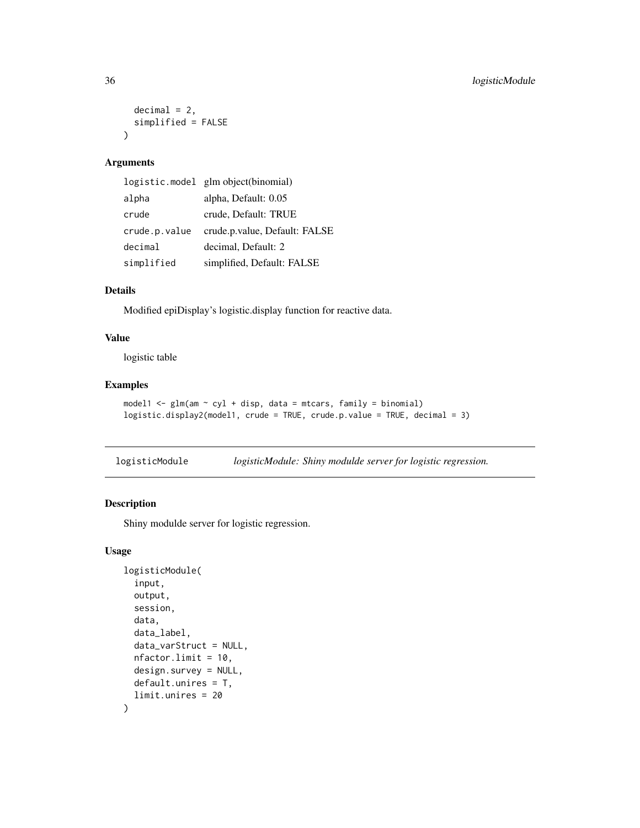```
decimal = 2,simplified = FALSE
\lambda
```
# Arguments

|               | logistic.model glm object(binomial) |
|---------------|-------------------------------------|
| alpha         | alpha, Default: 0.05                |
| crude         | crude, Default: TRUE                |
| crude.p.value | crude.p.value, Default: FALSE       |
| decimal       | decimal, Default: 2                 |
| simplified    | simplified, Default: FALSE          |

# Details

Modified epiDisplay's logistic.display function for reactive data.

# Value

logistic table

# Examples

```
model1 <- glm(am ~ cyl + disp, data = mtcars, family = binomial)
logistic.display2(model1, crude = TRUE, crude.p.value = TRUE, decimal = 3)
```
logisticModule *logisticModule: Shiny modulde server for logistic regression.*

# Description

Shiny modulde server for logistic regression.

# Usage

```
logisticModule(
  input,
  output,
  session,
  data,
  data_label,
  data_varStruct = NULL,
 nfactor.limit = 10,
  design.survey = NULL,
  default.unires = T,
  limit.unires = 20
\mathcal{E}
```
<span id="page-35-0"></span>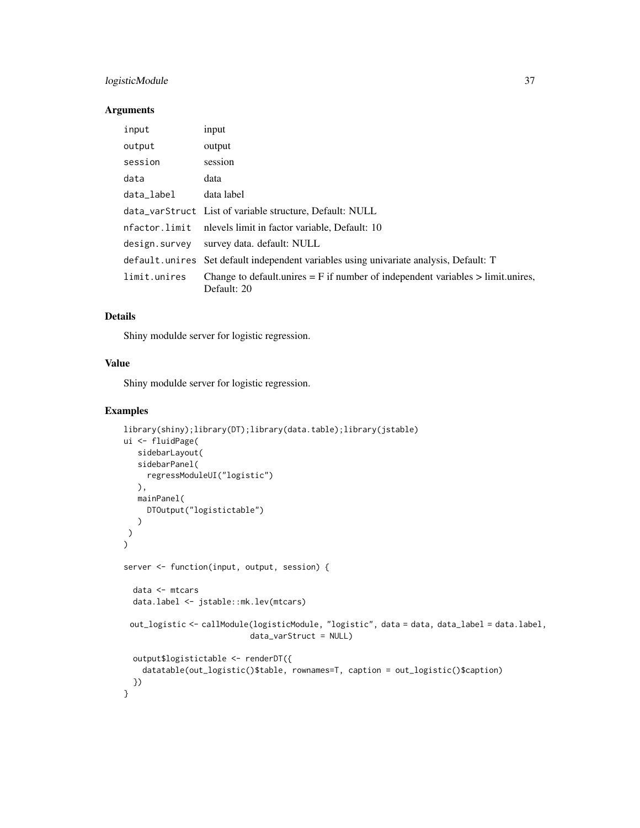# logisticModule 37

## Arguments

| input         | input                                                                                              |
|---------------|----------------------------------------------------------------------------------------------------|
| output        | output                                                                                             |
| session       | session                                                                                            |
| data          | data                                                                                               |
| data_label    | data label                                                                                         |
|               | data_varStruct List of variable structure, Default: NULL                                           |
|               | nfactor.limit nlevels limit in factor variable, Default: 10                                        |
| design.survey | survey data. default: NULL                                                                         |
|               | default. unires Set default independent variables using univariate analysis, Default: T            |
| limit.unires  | Change to default unires $=$ F if number of independent variables $>$ limit unires,<br>Default: 20 |

# Details

Shiny modulde server for logistic regression.

# Value

Shiny modulde server for logistic regression.

```
library(shiny);library(DT);library(data.table);library(jstable)
ui <- fluidPage(
  sidebarLayout(
   sidebarPanel(
    regressModuleUI("logistic")
  ),
  mainPanel(
     DTOutput("logistictable")
  )
)
\mathcal{L}server <- function(input, output, session) {
  data <- mtcars
 data.label <- jstable::mk.lev(mtcars)
 out_logistic <- callModule(logisticModule, "logistic", data = data, data_label = data.label,
                           data_varStruct = NULL)
  output$logistictable <- renderDT({
    datatable(out_logistic()$table, rownames=T, caption = out_logistic()$caption)
  })
}
```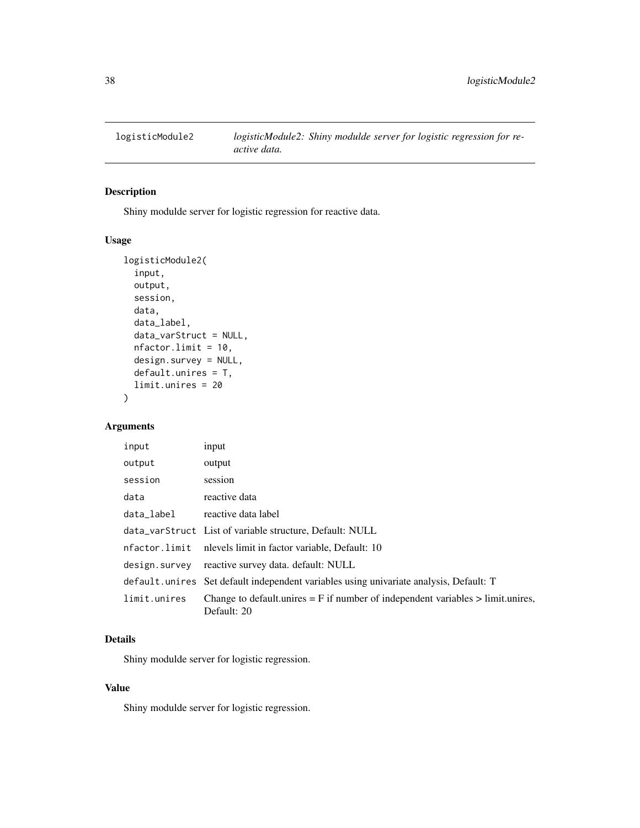<span id="page-37-0"></span>

# Description

Shiny modulde server for logistic regression for reactive data.

# Usage

```
logisticModule2(
  input,
 output,
  session,
  data,
  data_label,
  data_varStruct = NULL,
  nfactor.limit = 10,
  design.survey = NULL,
  default.unires = T,
  limit.unires = 20
\mathcal{L}
```
# Arguments

| input         | input                                                                                              |
|---------------|----------------------------------------------------------------------------------------------------|
| output        | output                                                                                             |
| session       | session                                                                                            |
| data          | reactive data                                                                                      |
| data_label    | reactive data label                                                                                |
|               | data_varStruct List of variable structure, Default: NULL                                           |
| nfactor.limit | nlevels limit in factor variable, Default: 10                                                      |
| design.survey | reactive survey data. default: NULL                                                                |
|               | default. unires Set default independent variables using univariate analysis, Default: T            |
| limit.unires  | Change to default unires $=$ F if number of independent variables $>$ limit unires,<br>Default: 20 |

# Details

Shiny modulde server for logistic regression.

#### Value

Shiny modulde server for logistic regression.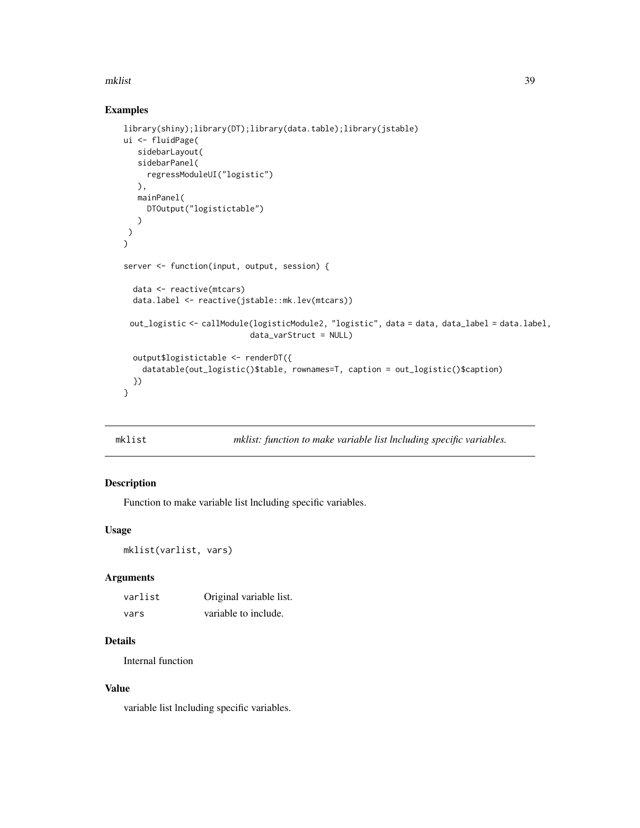#### <span id="page-38-0"></span>mklist 39

# Examples

```
library(shiny);library(DT);library(data.table);library(jstable)
ui <- fluidPage(
   sidebarLayout(
   sidebarPanel(
     regressModuleUI("logistic")
  ),
  mainPanel(
     DTOutput("logistictable")
   )
)
\mathcal{L}server <- function(input, output, session) {
  data <- reactive(mtcars)
  data.label <- reactive(jstable::mk.lev(mtcars))
 out_logistic <- callModule(logisticModule2, "logistic", data = data, data_label = data.label,
                           data_varStruct = NULL)
  output$logistictable <- renderDT({
    datatable(out_logistic()$table, rownames=T, caption = out_logistic()$caption)
  })
}
```

| mklist |  | mklist: function to make variable list lncluding specific variables. |
|--------|--|----------------------------------------------------------------------|
|--------|--|----------------------------------------------------------------------|

# Description

Function to make variable list lncluding specific variables.

# Usage

```
mklist(varlist, vars)
```
# Arguments

| varlist | Original variable list. |
|---------|-------------------------|
| vars    | variable to include.    |

# Details

Internal function

# Value

variable list lncluding specific variables.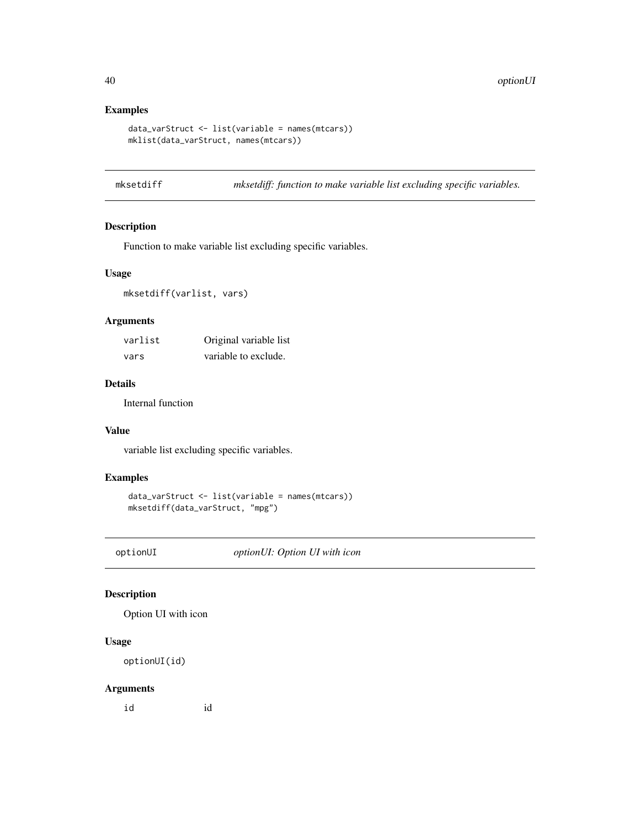# Examples

```
data_varStruct <- list(variable = names(mtcars))
mklist(data_varStruct, names(mtcars))
```
mksetdiff *mksetdiff: function to make variable list excluding specific variables.*

# Description

Function to make variable list excluding specific variables.

# Usage

mksetdiff(varlist, vars)

# Arguments

| varlist | Original variable list |
|---------|------------------------|
| vars    | variable to exclude.   |

## Details

Internal function

# Value

variable list excluding specific variables.

# Examples

```
data_varStruct <- list(variable = names(mtcars))
mksetdiff(data_varStruct, "mpg")
```
optionUI *optionUI: Option UI with icon*

# Description

Option UI with icon

# Usage

optionUI(id)

# Arguments

id id

<span id="page-39-0"></span>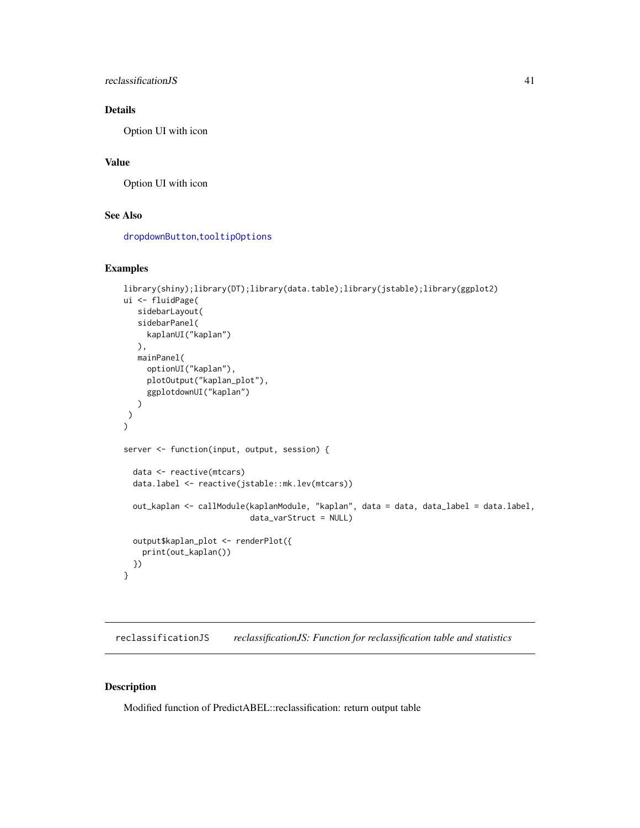## <span id="page-40-0"></span>reclassificationJS 41

# Details

Option UI with icon

# Value

Option UI with icon

#### See Also

[dropdownButton](#page-0-0),[tooltipOptions](#page-0-0)

#### Examples

```
library(shiny);library(DT);library(data.table);library(jstable);library(ggplot2)
ui <- fluidPage(
  sidebarLayout(
  sidebarPanel(
    kaplanUI("kaplan")
  ),
  mainPanel(
     optionUI("kaplan"),
     plotOutput("kaplan_plot"),
     ggplotdownUI("kaplan")
  )
)
)
server <- function(input, output, session) {
 data <- reactive(mtcars)
 data.label <- reactive(jstable::mk.lev(mtcars))
 out_kaplan <- callModule(kaplanModule, "kaplan", data = data, data_label = data.label,
                           data_varStruct = NULL)
 output$kaplan_plot <- renderPlot({
   print(out_kaplan())
 })
}
```
reclassificationJS *reclassificationJS: Function for reclassification table and statistics*

#### Description

Modified function of PredictABEL::reclassification: return output table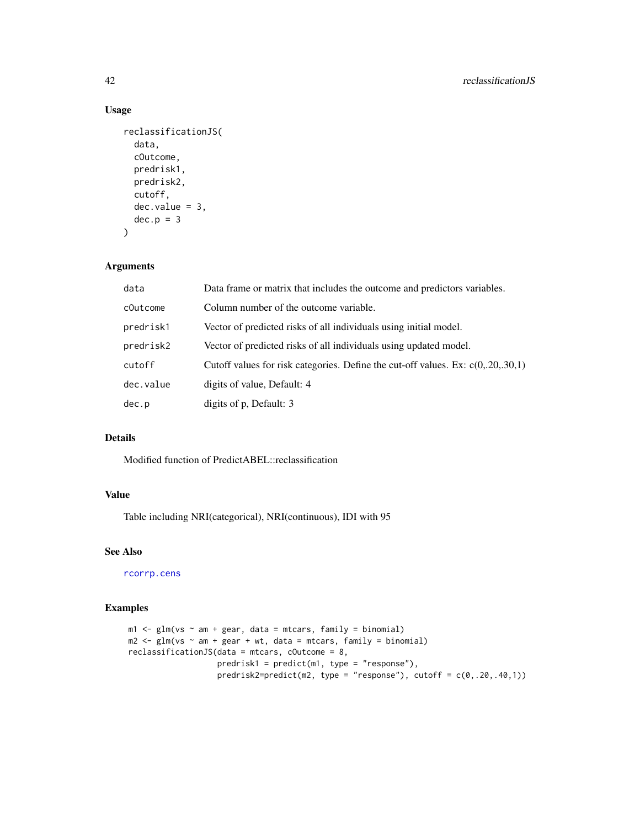# Usage

```
reclassificationJS(
  data,
  cOutcome,
 predrisk1,
 predrisk2,
 cutoff,
 dec.value = 3,dec.p = 3\lambda
```
# Arguments

| data      | Data frame or matrix that includes the outcome and predictors variables.            |
|-----------|-------------------------------------------------------------------------------------|
| cOutcome  | Column number of the outcome variable.                                              |
| predrisk1 | Vector of predicted risks of all individuals using initial model.                   |
| predrisk2 | Vector of predicted risks of all individuals using updated model.                   |
| cutoff    | Cutoff values for risk categories. Define the cut-off values. Ex: $c(0, 20, 30, 1)$ |
| dec.value | digits of value, Default: 4                                                         |
| dec.p     | digits of p, Default: 3                                                             |

# Details

Modified function of PredictABEL::reclassification

# Value

Table including NRI(categorical), NRI(continuous), IDI with 95

## See Also

[rcorrp.cens](#page-0-0)

```
m1 < - glm(vs \sim am + gear, data = mtcars, family = binomial)
m2 \leq -g \ln(vs \sim am + gear + wt, data = mtcars, family = binomial)reclassificationJS(data = mtcars, cOutcome = 8,
                    predrisk1 = predict(m1, type = "response"),
                     predrisk2=predict(m2, type = "response"), cutoff = c(\theta, .2\theta, .4\theta, 1))
```
<span id="page-41-0"></span>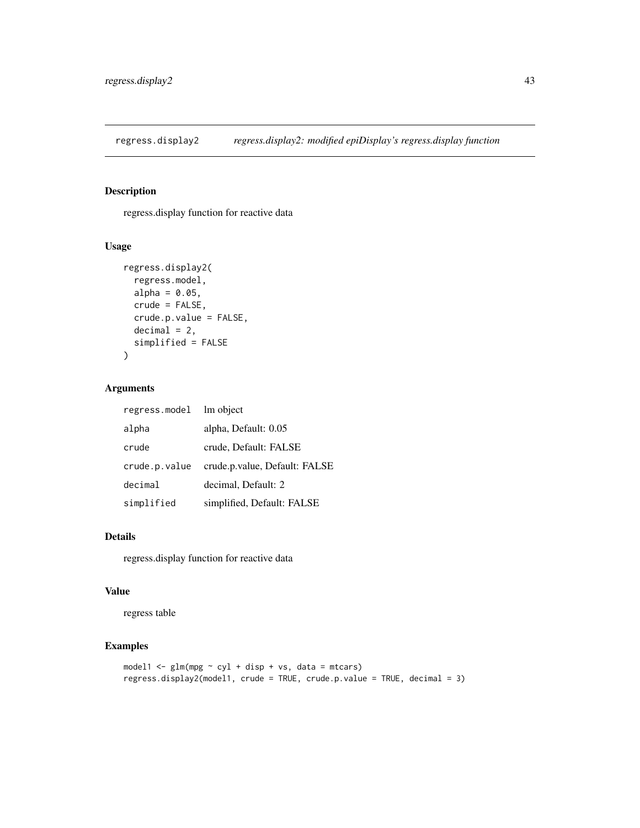<span id="page-42-0"></span>regress.display2 *regress.display2: modified epiDisplay's regress.display function*

## Description

regress.display function for reactive data

#### Usage

```
regress.display2(
  regress.model,
 alpha = 0.05,
 crude = FALSE,
 crude.p.value = FALSE,
 decimal = 2,simplified = FALSE
)
```
# Arguments

| regress.model | lm object                     |
|---------------|-------------------------------|
| alpha         | alpha, Default: 0.05          |
| crude         | crude, Default: FALSE         |
| crude.p.value | crude.p.value, Default: FALSE |
| decimal       | decimal, Default: 2           |
| simplified    | simplified, Default: FALSE    |

# Details

regress.display function for reactive data

## Value

regress table

```
model1 \leq glm(mpg \sim cyl + disp + vs, data = mtcars)
regress.display2(model1, crude = TRUE, crude.p.value = TRUE, decimal = 3)
```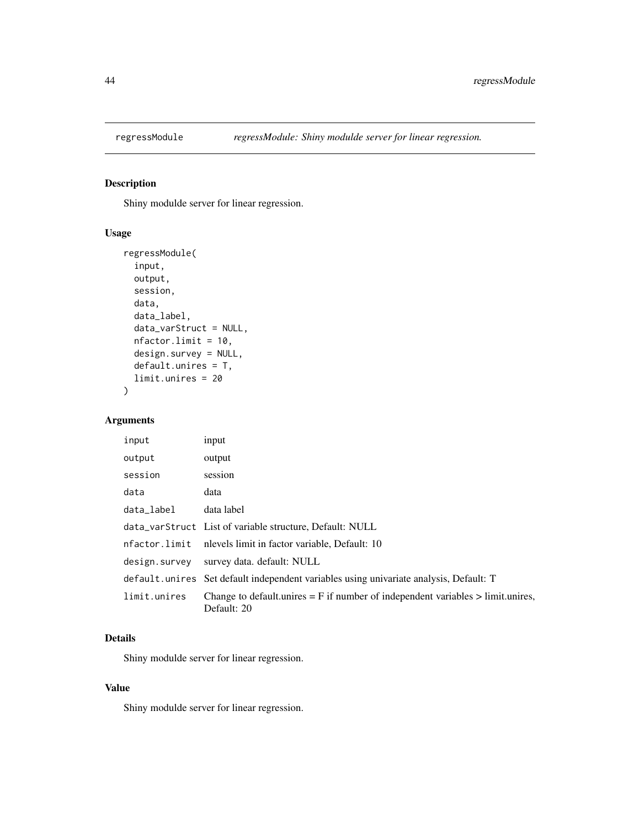<span id="page-43-0"></span>

# Description

Shiny modulde server for linear regression.

## Usage

```
regressModule(
  input,
 output,
 session,
 data,
 data_label,
 data_varStruct = NULL,
 nfactor.limit = 10,
 design.survey = NULL,
 default.unires = T,
  limit.unires = 20
)
```
# Arguments

| input         | input                                                                                              |
|---------------|----------------------------------------------------------------------------------------------------|
| output        | output                                                                                             |
| session       | session                                                                                            |
| data          | data                                                                                               |
| data label    | data label                                                                                         |
|               | data_varStruct List of variable structure, Default: NULL                                           |
| nfactor.limit | nlevels limit in factor variable, Default: 10                                                      |
| design.survey | survey data. default: NULL                                                                         |
|               | default.unives Set default independent variables using univariate analysis, Default: T             |
| limit.unires  | Change to default unires $=$ F if number of independent variables $>$ limit unires,<br>Default: 20 |

# Details

Shiny modulde server for linear regression.

# Value

Shiny modulde server for linear regression.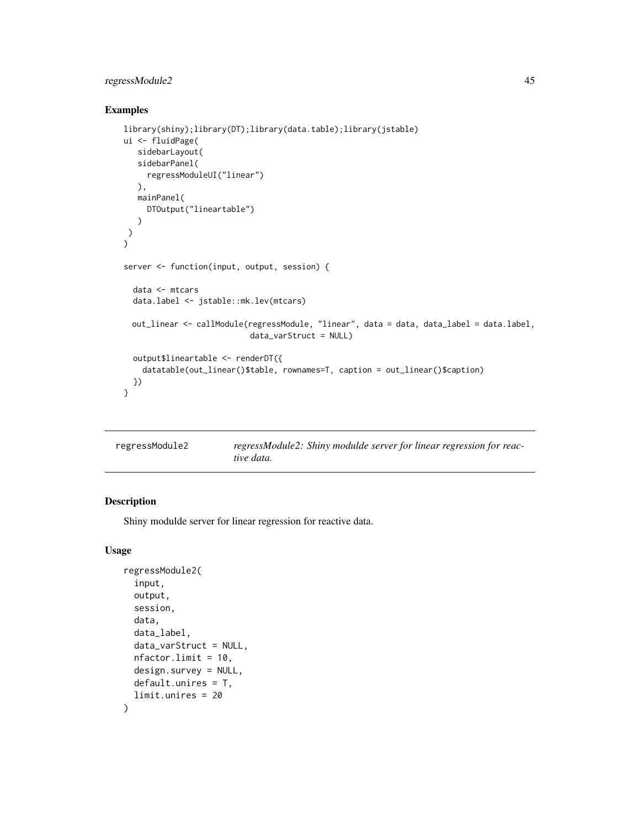# regressModule2 45

# Examples

```
library(shiny);library(DT);library(data.table);library(jstable)
ui <- fluidPage(
  sidebarLayout(
   sidebarPanel(
     regressModuleUI("linear")
  ),
  mainPanel(
     DTOutput("lineartable")
   )
)
\mathcal{L}server <- function(input, output, session) {
  data <- mtcars
  data.label <- jstable::mk.lev(mtcars)
 out_linear <- callModule(regressModule, "linear", data = data, data_label = data.label,
                           data_varStruct = NULL)
  output$lineartable <- renderDT({
    datatable(out_linear()$table, rownames=T, caption = out_linear()$caption)
  })
}
```

| regressModule2 | regressModule2: Shiny modulde server for linear regression for reac- |
|----------------|----------------------------------------------------------------------|
|                | tive data.                                                           |

## Description

Shiny modulde server for linear regression for reactive data.

```
regressModule2(
  input,
 output,
  session,
  data,
  data_label,
  data_varStruct = NULL,
 nfactor.limit = 10,
 design.survey = NULL,
 default.unires = T,
  limit.unires = 20
)
```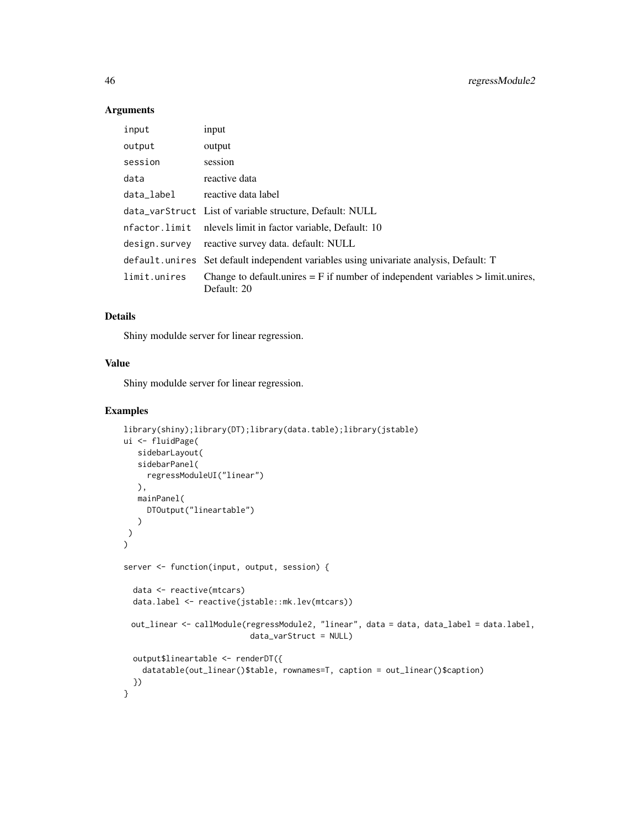#### Arguments

| input         | input                                                                                              |
|---------------|----------------------------------------------------------------------------------------------------|
| output        | output                                                                                             |
| session       | session                                                                                            |
| data          | reactive data                                                                                      |
| data_label    | reactive data label                                                                                |
|               | data_varStruct List of variable structure, Default: NULL                                           |
|               | nfactor.limit nlevels limit in factor variable, Default: 10                                        |
| design.survey | reactive survey data. default: NULL                                                                |
|               | default. unires Set default independent variables using univariate analysis, Default: T            |
| limit.unires  | Change to default unires $=$ F if number of independent variables $>$ limit unires,<br>Default: 20 |

# Details

Shiny modulde server for linear regression.

# Value

Shiny modulde server for linear regression.

```
library(shiny);library(DT);library(data.table);library(jstable)
ui <- fluidPage(
  sidebarLayout(
   sidebarPanel(
    regressModuleUI("linear")
  ),
  mainPanel(
    DTOutput("lineartable")
  )
)
)
server <- function(input, output, session) {
  data <- reactive(mtcars)
  data.label <- reactive(jstable::mk.lev(mtcars))
 out_linear <- callModule(regressModule2, "linear", data = data, data_label = data.label,
                           data_varStruct = NULL)
  output$lineartable <- renderDT({
    datatable(out_linear()$table, rownames=T, caption = out_linear()$caption)
  })
}
```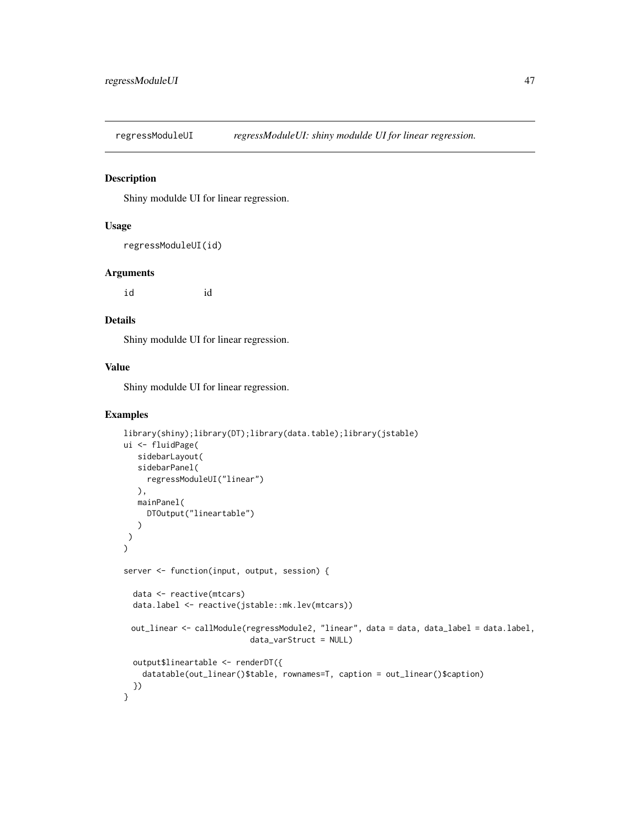regressModuleUI *regressModuleUI: shiny modulde UI for linear regression.*

# Description

Shiny modulde UI for linear regression.

#### Usage

```
regressModuleUI(id)
```
#### Arguments

id id

#### Details

Shiny modulde UI for linear regression.

## Value

Shiny modulde UI for linear regression.

```
library(shiny);library(DT);library(data.table);library(jstable)
ui <- fluidPage(
   sidebarLayout(
   sidebarPanel(
     regressModuleUI("linear")
  ),
   mainPanel(
     DTOutput("lineartable")
   )
)
\mathcal{L}server <- function(input, output, session) {
  data <- reactive(mtcars)
  data.label <- reactive(jstable::mk.lev(mtcars))
 out_linear <- callModule(regressModule2, "linear", data = data, data_label = data.label,
                           data_varStruct = NULL)
  output$lineartable <- renderDT({
    datatable(out_linear()$table, rownames=T, caption = out_linear()$caption)
  })
}
```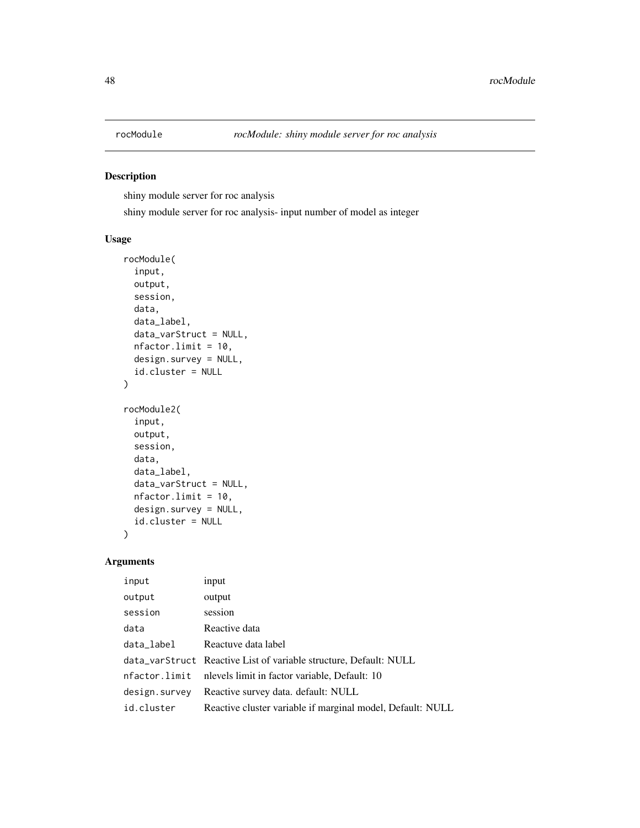# Description

shiny module server for roc analysis

shiny module server for roc analysis- input number of model as integer

#### Usage

```
rocModule(
  input,
  output,
  session,
  data,
  data_label,
  data_varStruct = NULL,
 nfactor.limit = 10,
  design.survey = NULL,
  id.cluster = NULL
)
rocModule2(
  input,
 output,
  session,
  data,
  data_label,
  data_varStruct = NULL,
 nfactor.limit = 10,
 design.survey = NULL,
  id.cluster = NULL
\mathcal{L}
```
# Arguments

| input         | input                                                             |
|---------------|-------------------------------------------------------------------|
| output        | output                                                            |
| session       | session                                                           |
| data          | Reactive data                                                     |
| data_label    | Reactuve data label                                               |
|               | data_varStruct Reactive List of variable structure, Default: NULL |
| nfactor.limit | nlevels limit in factor variable, Default: 10                     |
| design.survey | Reactive survey data. default: NULL                               |
| id.cluster    | Reactive cluster variable if marginal model, Default: NULL        |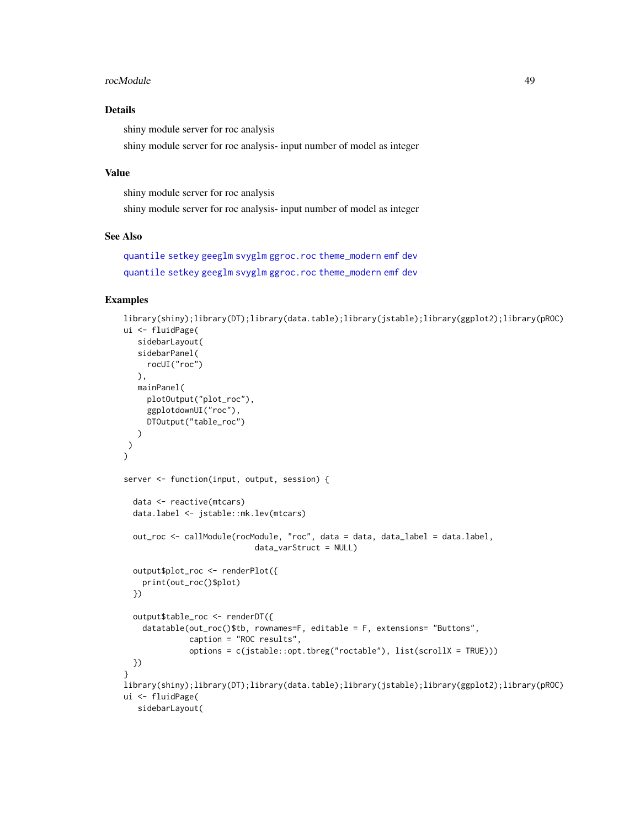#### <span id="page-48-0"></span>rocModule 49

## Details

shiny module server for roc analysis

shiny module server for roc analysis- input number of model as integer

# Value

shiny module server for roc analysis

shiny module server for roc analysis- input number of model as integer

### See Also

```
quantile setkey geeglm svyglm ggroc.roc theme_modern emf dev
quantile setkey geeglm svyglm ggroc.roc theme_modern emf dev
```

```
library(shiny);library(DT);library(data.table);library(jstable);library(ggplot2);library(pROC)
ui <- fluidPage(
   sidebarLayout(
   sidebarPanel(
    rocUI("roc")
   ),
   mainPanel(
     plotOutput("plot_roc"),
     ggplotdownUI("roc"),
     DTOutput("table_roc")
  \lambda)
\lambdaserver <- function(input, output, session) {
  data <- reactive(mtcars)
  data.label <- jstable::mk.lev(mtcars)
  out_roc <- callModule(rocModule, "roc", data = data, data_label = data.label,
                            data_varStruct = NULL)
  output$plot_roc <- renderPlot({
   print(out_roc()$plot)
  })
  output$table_roc <- renderDT({
    datatable(out_roc()$tb, rownames=F, editable = F, extensions= "Buttons",
              caption = "ROC results",
              options = c(jstable::opt.tbreg("roctable"), list(scrollX = TRUE)))
  })
}
library(shiny);library(DT);library(data.table);library(jstable);library(ggplot2);library(pROC)
ui <- fluidPage(
   sidebarLayout(
```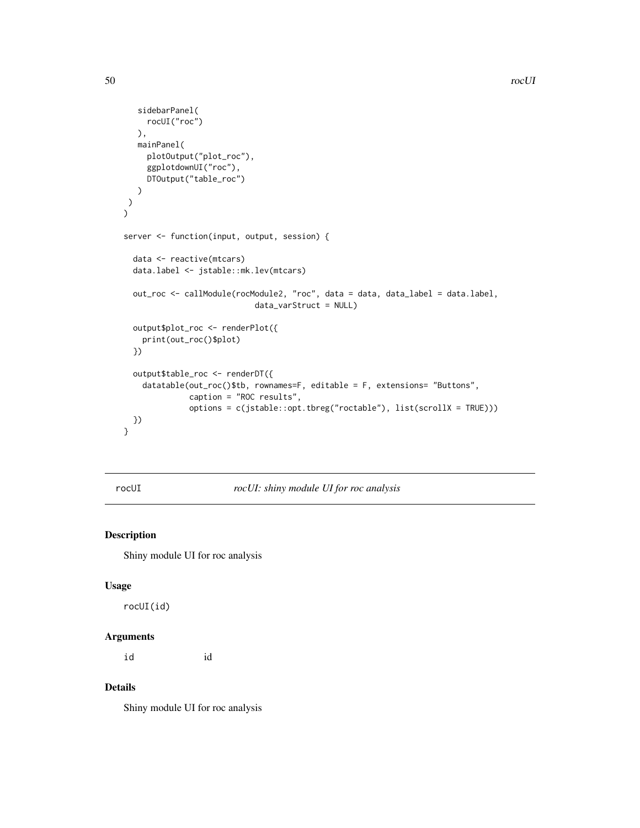```
sidebarPanel(
     rocUI("roc")
  ),
  mainPanel(
     plotOutput("plot_roc"),
     ggplotdownUI("roc"),
     DTOutput("table_roc")
  )
)
\mathcal{L}server <- function(input, output, session) {
  data <- reactive(mtcars)
  data.label <- jstable::mk.lev(mtcars)
  out_roc <- callModule(rocModule2, "roc", data = data, data_label = data.label,
                            data_varStruct = NULL)
  output$plot_roc <- renderPlot({
   print(out_roc()$plot)
  })
  output$table_roc <- renderDT({
   datatable(out_roc()$tb, rownames=F, editable = F, extensions= "Buttons",
              caption = "ROC results",
              options = c(jstable::opt.tbreg("roctable"), list(scrollX = TRUE)))
 })
}
```
rocUI *rocUI: shiny module UI for roc analysis*

# Description

Shiny module UI for roc analysis

#### Usage

rocUI(id)

#### Arguments

id id

#### Details

Shiny module UI for roc analysis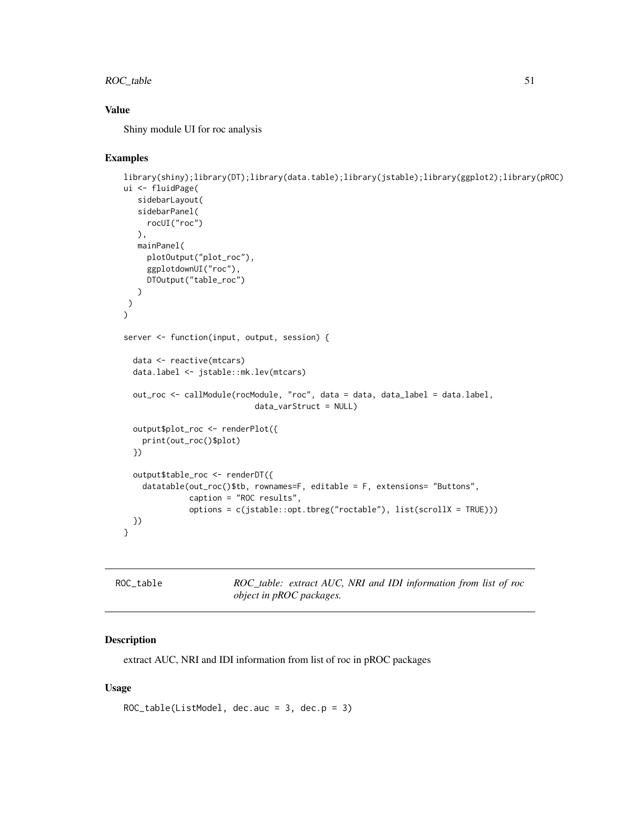# ROC\_table 51

# Value

Shiny module UI for roc analysis

#### Examples

```
library(shiny);library(DT);library(data.table);library(jstable);library(ggplot2);library(pROC)
ui <- fluidPage(
  sidebarLayout(
  sidebarPanel(
    rocUI("roc")
  ),
  mainPanel(
    plotOutput("plot_roc"),
     ggplotdownUI("roc"),
    DTOutput("table_roc")
   )
)
)
server <- function(input, output, session) {
 data <- reactive(mtcars)
 data.label <- jstable::mk.lev(mtcars)
 out_roc <- callModule(rocModule, "roc", data = data, data_label = data.label,
                            data_varStruct = NULL)
 output$plot_roc <- renderPlot({
   print(out_roc()$plot)
 })
 output$table_roc <- renderDT({
   datatable(out_roc()$tb, rownames=F, editable = F, extensions= "Buttons",
             caption = "ROC results",
              options = c(jstable::opt.tbreg("roctable"), list(scrollX = TRUE)))
 })
}
```
ROC\_table *ROC\_table: extract AUC, NRI and IDI information from list of roc object in pROC packages.*

#### Description

extract AUC, NRI and IDI information from list of roc in pROC packages

```
ROC_table(ListModel, dec.auc = 3, dec.p = 3)
```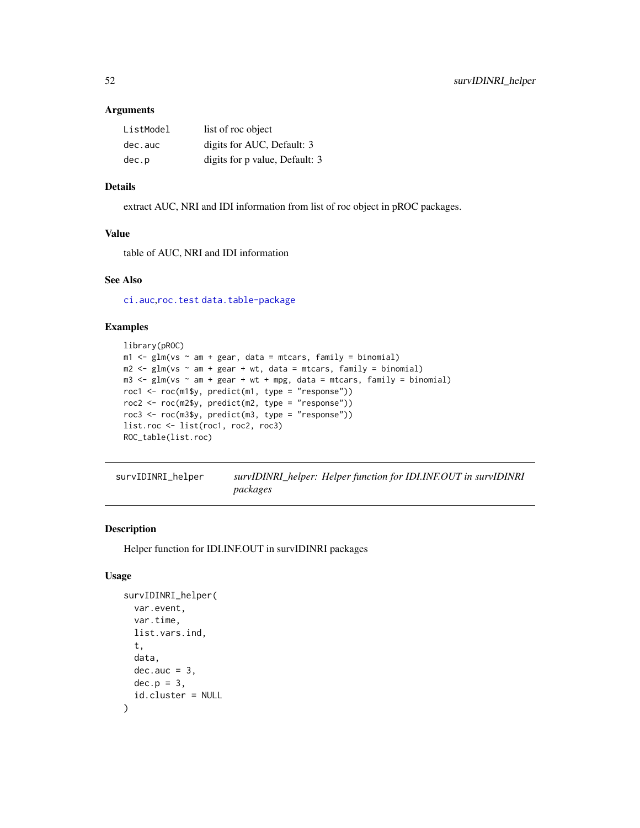#### <span id="page-51-0"></span>Arguments

| ListModel | list of roc object             |
|-----------|--------------------------------|
| dec.auc   | digits for AUC, Default: 3     |
| dec.p     | digits for p value, Default: 3 |

## Details

extract AUC, NRI and IDI information from list of roc object in pROC packages.

## Value

table of AUC, NRI and IDI information

# See Also

[ci.auc](#page-0-0),[roc.test](#page-0-0) [data.table-package](#page-0-0)

# Examples

```
library(pROC)
m1 \leq -glm(vs \sim am + gear, data = mtcars, family = binomial)m2 \leq glm(vs \sim am + gear + wt, data = mtcars, family = binomial)m3 \leq glm(vs \sim am + gear + wt + mpg, data = mtcars, family = binomial)roc1 <- roc(m1$y, predict(m1, type = "response"))
roc2 <- roc(m2$y, predict(m2, type = "response"))
roc3 <- roc(m3$y, predict(m3, type = "response"))
list.roc <- list(roc1, roc2, roc3)
ROC_table(list.roc)
```

| survIDINRI_helper | survIDINRI_helper: Helper function for IDI.INF.OUT in survIDINRI |
|-------------------|------------------------------------------------------------------|
|                   | packages                                                         |

# Description

Helper function for IDI.INF.OUT in survIDINRI packages

```
survIDINRI_helper(
 var.event,
  var.time,
 list.vars.ind,
  t,
 data,
 dec.auc = 3.
 dec.p = 3,
  id.cluster = NULL
)
```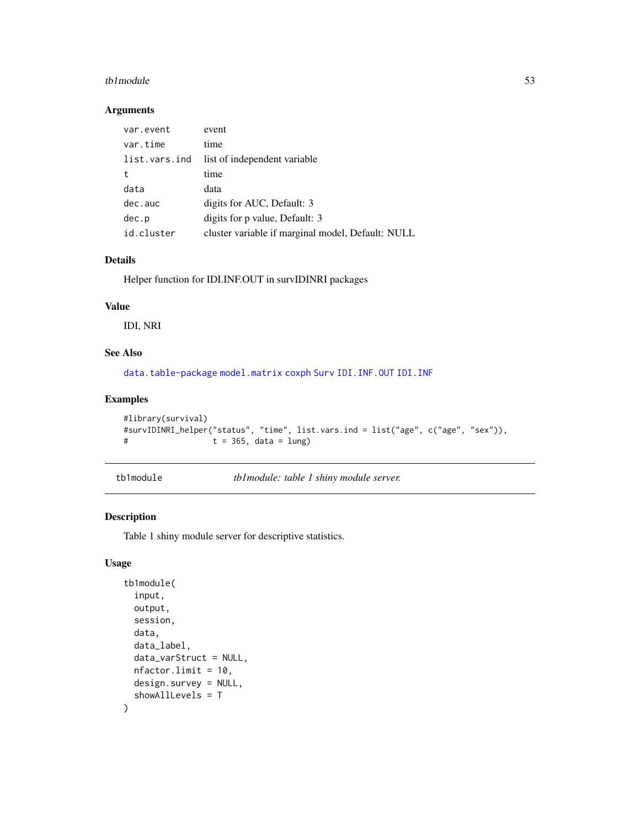#### <span id="page-52-0"></span>tb1module 53

#### Arguments

| var.event     | event                                             |
|---------------|---------------------------------------------------|
| var.time      | time                                              |
| list.vars.ind | list of independent variable.                     |
| t             | time                                              |
| data          | data                                              |
| dec.auc       | digits for AUC, Default: 3                        |
| dec.p         | digits for p value, Default: 3                    |
| id.cluster    | cluster variable if marginal model, Default: NULL |

# Details

Helper function for IDI.INF.OUT in survIDINRI packages

# Value

IDI, NRI

## See Also

[data.table-package](#page-0-0) [model.matrix](#page-0-0) [coxph](#page-0-0) [Surv](#page-0-0) [IDI.INF.OUT](#page-0-0) [IDI.INF](#page-0-0)

#### Examples

```
#library(survival)
#survIDINRI_helper("status", "time", list.vars.ind = list("age", c("age", "sex")),
# t = 365, data = lung)
```

```
tb1module tb1module: table 1 shiny module server.
```
# Description

Table 1 shiny module server for descriptive statistics.

```
tb1module(
  input,
  output,
  session,
  data,
  data_label,
  data_varStruct = NULL,
  nfactor.limit = 10,
  design.survey = NULL,
  showAllLevels = T
\mathcal{E}
```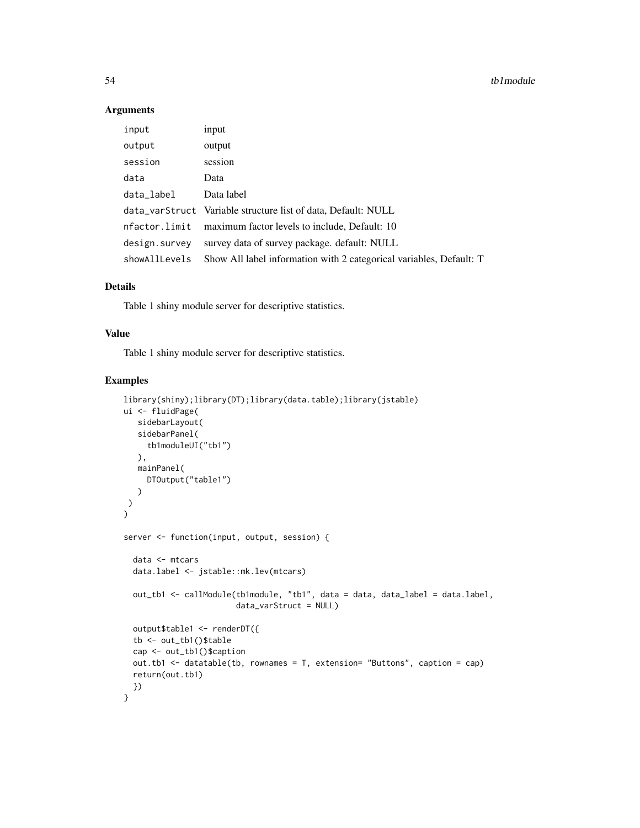## Arguments

| input         | input                                                               |
|---------------|---------------------------------------------------------------------|
| output        | output                                                              |
| session       | session                                                             |
| data          | Data                                                                |
| data_label    | Data label                                                          |
|               | data_varStruct Variable structure list of data, Default: NULL       |
| nfactor.limit | maximum factor levels to include, Default: 10                       |
| design.survey | survey data of survey package. default: NULL                        |
| showAllLevels | Show All label information with 2 categorical variables, Default: T |

#### Details

Table 1 shiny module server for descriptive statistics.

## Value

Table 1 shiny module server for descriptive statistics.

```
library(shiny);library(DT);library(data.table);library(jstable)
ui <- fluidPage(
  sidebarLayout(
  sidebarPanel(
     tb1moduleUI("tb1")
  ),
  mainPanel(
     DTOutput("table1")
   )
)
)
server <- function(input, output, session) {
  data <- mtcars
  data.label <- jstable::mk.lev(mtcars)
  out_tb1 <- callModule(tb1module, "tb1", data = data, data_label = data.label,
                        data_varStruct = NULL)
  output$table1 <- renderDT({
  tb <- out_tb1()$table
  cap <- out_tb1()$caption
  out.tb1 <- datatable(tb, rownames = T, extension= "Buttons", caption = cap)
  return(out.tb1)
  })
}
```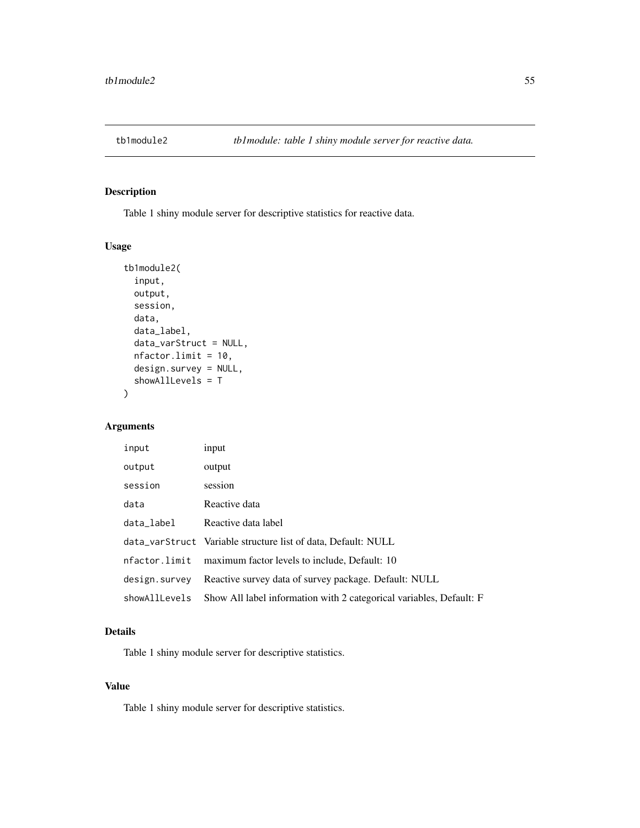# Description

Table 1 shiny module server for descriptive statistics for reactive data.

# Usage

```
tb1module2(
  input,
 output,
  session,
 data,
 data_label,
 data_varStruct = NULL,
 nfactor.limit = 10,
 design.survey = NULL,
  showAllLevels = T
)
```
# Arguments

| input         | input                                                               |
|---------------|---------------------------------------------------------------------|
| output        | output                                                              |
| session       | session                                                             |
| data          | Reactive data                                                       |
| data_label    | Reactive data label                                                 |
|               | data_varStruct Variable structure list of data, Default: NULL       |
| nfactor.limit | maximum factor levels to include, Default: 10                       |
| design.survey | Reactive survey data of survey package. Default: NULL               |
| showAllLevels | Show All label information with 2 categorical variables, Default: F |

## Details

Table 1 shiny module server for descriptive statistics.

#### Value

Table 1 shiny module server for descriptive statistics.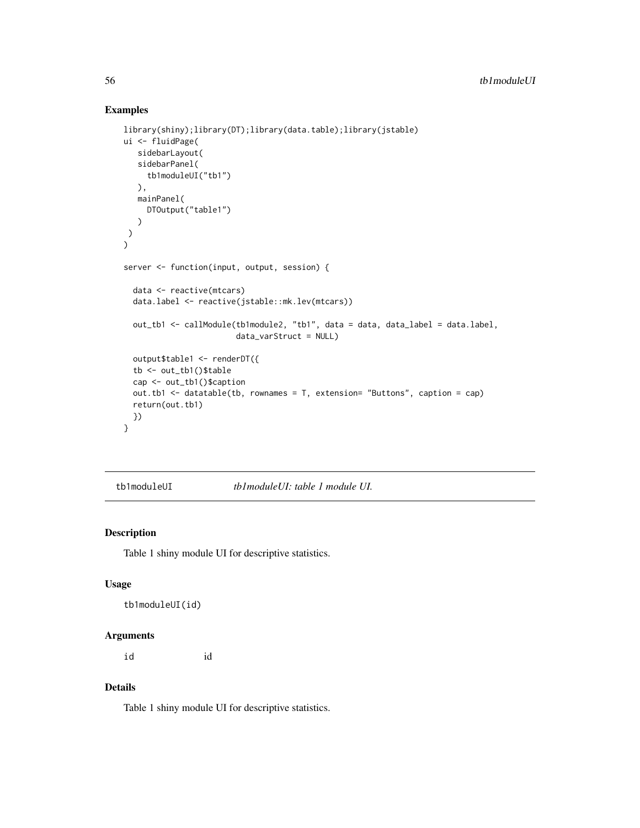#### Examples

```
library(shiny);library(DT);library(data.table);library(jstable)
ui <- fluidPage(
   sidebarLayout(
   sidebarPanel(
     tb1moduleUI("tb1")
   ),
  mainPanel(
    DTOutput("table1")
  \lambda)
)
server <- function(input, output, session) {
  data <- reactive(mtcars)
  data.label <- reactive(jstable::mk.lev(mtcars))
  out_tb1 <- callModule(tb1module2, "tb1", data = data, data_label = data.label,
                        data_varStruct = NULL)
  output$table1 <- renderDT({
  tb <- out_tb1()$table
  cap <- out_tb1()$caption
  out.tb1 <- datatable(tb, rownames = T, extension= "Buttons", caption = cap)
  return(out.tb1)
  })
}
```
tb1moduleUI *tb1moduleUI: table 1 module UI.*

#### Description

Table 1 shiny module UI for descriptive statistics.

# Usage

```
tb1moduleUI(id)
```
#### Arguments

id id

#### Details

Table 1 shiny module UI for descriptive statistics.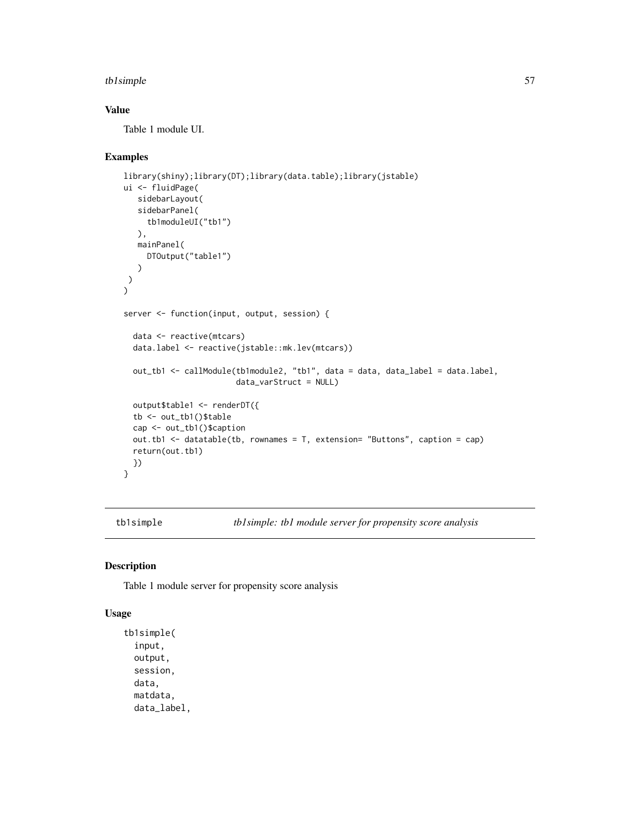#### tb1simple 57

# Value

Table 1 module UI.

#### Examples

```
library(shiny);library(DT);library(data.table);library(jstable)
ui <- fluidPage(
  sidebarLayout(
  sidebarPanel(
    tb1moduleUI("tb1")
  ),
  mainPanel(
    DTOutput("table1")
  )
)
\lambdaserver <- function(input, output, session) {
 data <- reactive(mtcars)
 data.label <- reactive(jstable::mk.lev(mtcars))
 out_tb1 <- callModule(tb1module2, "tb1", data = data, data_label = data.label,
                        data_varStruct = NULL)
 output$table1 <- renderDT({
 tb <- out_tb1()$table
 cap <- out_tb1()$caption
 out.tb1 <- datatable(tb, rownames = T, extension= "Buttons", caption = cap)
 return(out.tb1)
 })
}
```
tb1simple *tb1simple: tb1 module server for propensity score analysis*

#### Description

Table 1 module server for propensity score analysis

```
tb1simple(
  input,
 output,
  session,
 data,
 matdata,
 data_label,
```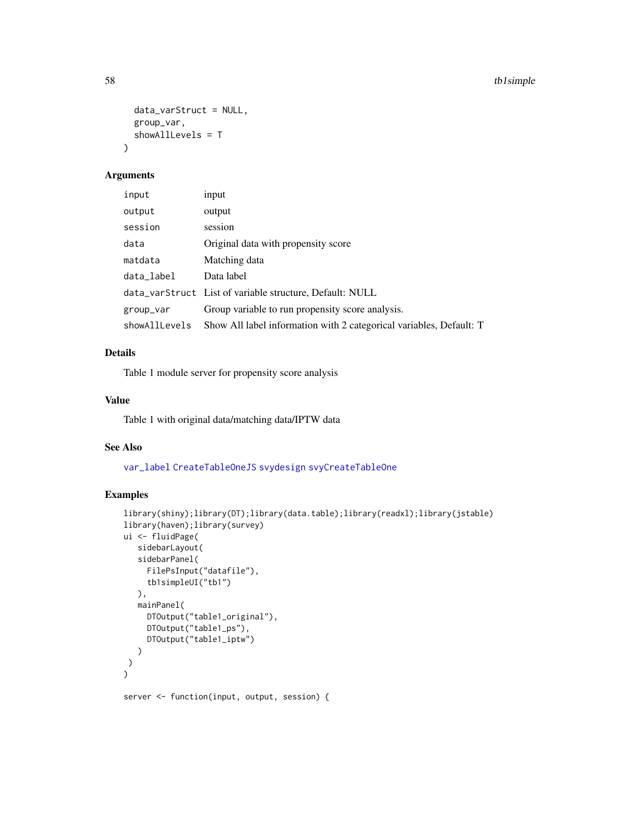```
data_varStruct = NULL,
  group_var,
  showAllLevels = T
\mathcal{L}
```
# Arguments

| input         | input                                                               |
|---------------|---------------------------------------------------------------------|
| output        | output                                                              |
| session       | session                                                             |
| data          | Original data with propensity score                                 |
| matdata       | Matching data                                                       |
| data_label    | Data label                                                          |
|               | data_varStruct List of variable structure, Default: NULL            |
| group_var     | Group variable to run propensity score analysis.                    |
| showAllLevels | Show All label information with 2 categorical variables, Default: T |

# Details

Table 1 module server for propensity score analysis

#### Value

Table 1 with original data/matching data/IPTW data

#### See Also

[var\\_label](#page-0-0) [CreateTableOneJS](#page-0-0) [svydesign](#page-0-0) [svyCreateTableOne](#page-0-0)

```
library(shiny);library(DT);library(data.table);library(readxl);library(jstable)
library(haven);library(survey)
ui <- fluidPage(
   sidebarLayout(
  sidebarPanel(
    FilePsInput("datafile"),
     tb1simpleUI("tb1")
  ),
  mainPanel(
     DTOutput("table1_original"),
     DTOutput("table1_ps"),
     DTOutput("table1_iptw")
  )
 )
)
server <- function(input, output, session) {
```
<span id="page-57-0"></span>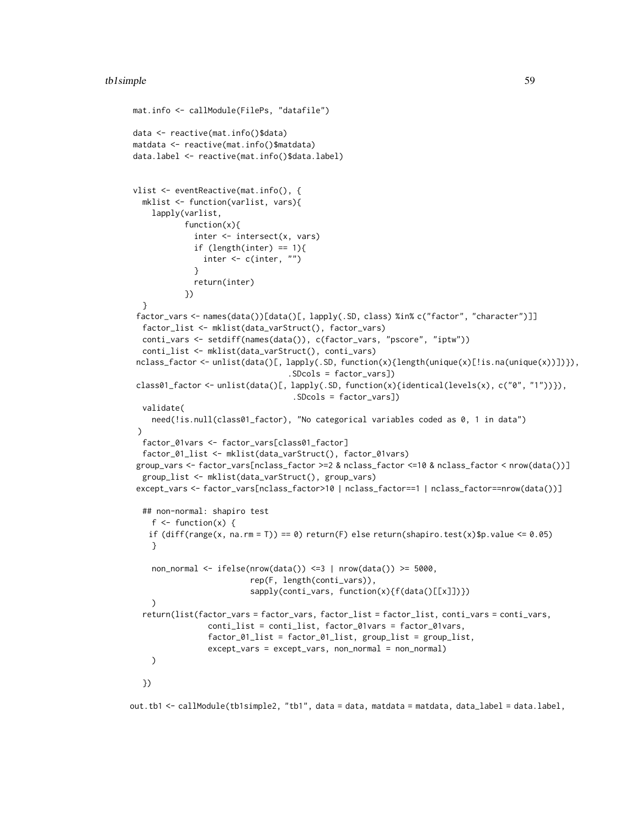```
mat.info <- callModule(FilePs, "datafile")
data <- reactive(mat.info()$data)
matdata <- reactive(mat.info()$matdata)
data.label <- reactive(mat.info()$data.label)
vlist <- eventReactive(mat.info(), {
  mklist <- function(varlist, vars){
    lapply(varlist,
           function(x){
             inter <- intersect(x, vars)
             if (length(inter) == 1){
               inter <- c(inter, "")
             }
             return(inter)
           })
  }
factor_vars <- names(data())[data()[, lapply(.SD, class) %in% c("factor", "character")]]
  factor_list <- mklist(data_varStruct(), factor_vars)
  conti_vars <- setdiff(names(data()), c(factor_vars, "pscore", "iptw"))
  conti_list <- mklist(data_varStruct(), conti_vars)
nclass_factor <- unlist(data()[, lapply(.SD, function(x){length(unique(x)[!is.na(unique(x))])}),
                                  .SDcols = factor_vars])
class01_factor <- unlist(data()[, lapply(.SD, function(x){identical(levels(x), c("0", "1"))}),
                                  .SDcols = factor_vars])
  validate(
    need(!is.null(class01_factor), "No categorical variables coded as 0, 1 in data")
 )
  factor_01vars <- factor_vars[class01_factor]
  factor_01_list <- mklist(data_varStruct(), factor_01vars)
 group_vars <- factor_vars[nclass_factor >=2 & nclass_factor <=10 & nclass_factor < nrow(data())]
  group_list <- mklist(data_varStruct(), group_vars)
except_vars <- factor_vars[nclass_factor>10 | nclass_factor==1 | nclass_factor==nrow(data())]
  ## non-normal: shapiro test
    f \leftarrow function(x) {
   if diff(range(x, na.rm = T)) == 0) return(F) else return(shapiro.test(x)$p.value <= 0.05)
    }
    non_normal <- ifelse(nrow(data()) <=3 | nrow(data()) >= 5000,
                         rep(F, length(conti_vars)),
                         sapply(conti_vars, function(x){f(data()[[x]])})
    )
  return(list(factor_vars = factor_vars, factor_list = factor_list, conti_vars = conti_vars,
                conti_list = conti_list, factor_01vars = factor_01vars,
                factor_01_list = factor_01_list, group_list = group_list,
                except_vars = except_vars, non_normal = non_normal)
    )
  })
```
out.tb1 <- callModule(tb1simple2, "tb1", data = data, matdata = matdata, data\_label = data.label,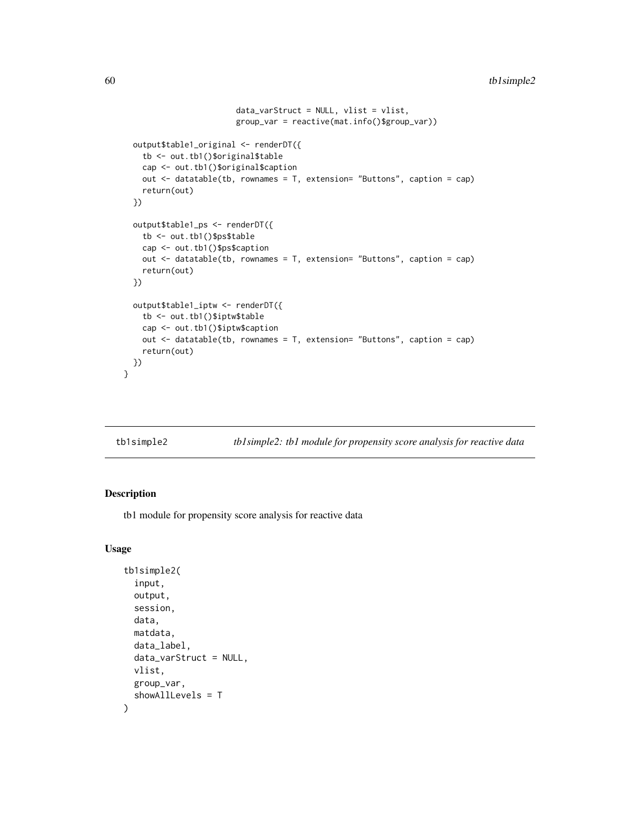```
data_varStruct = NULL, vlist = vlist,
                        group_var = reactive(mat.info()$group_var))
 output$table1_original <- renderDT({
    tb <- out.tb1()$original$table
   cap <- out.tb1()$original$caption
   out <- datatable(tb, rownames = T, extension= "Buttons", caption = cap)
   return(out)
 })
 output$table1_ps <- renderDT({
   tb <- out.tb1()$ps$table
   cap <- out.tb1()$ps$caption
   out <- datatable(tb, rownames = T, extension= "Buttons", caption = cap)
   return(out)
 })
 output$table1_iptw <- renderDT({
   tb <- out.tb1()$iptw$table
   cap <- out.tb1()$iptw$caption
   out <- datatable(tb, rownames = T, extension= "Buttons", caption = cap)
   return(out)
 })
}
```
tb1simple2 *tb1simple2: tb1 module for propensity score analysis for reactive data*

# Description

tb1 module for propensity score analysis for reactive data

```
tb1simple2(
  input,
  output,
  session,
  data,
 matdata,
  data_label,
  data_varStruct = NULL,
 vlist,
 group_var,
  showAllLevels = T
)
```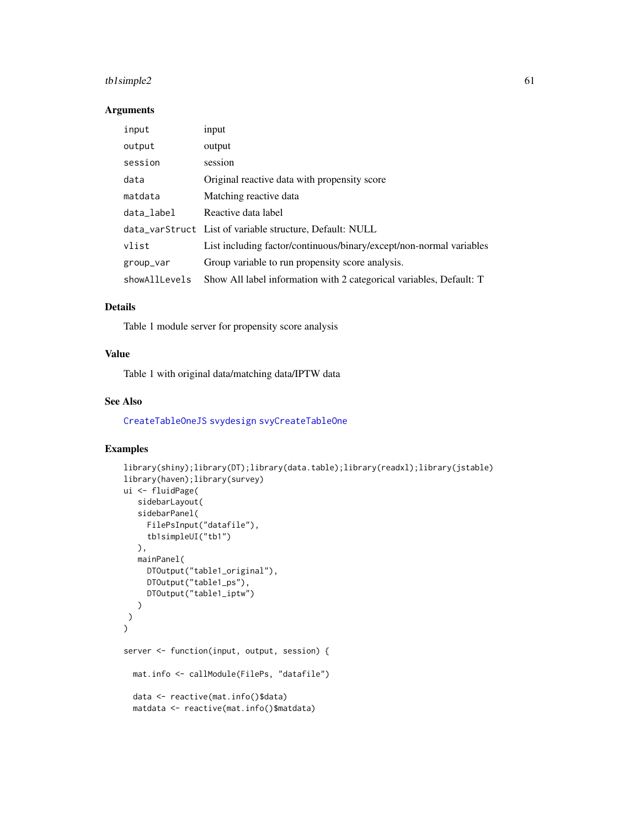# <span id="page-60-0"></span>tb1simple2 61

#### Arguments

| input         | input                                                               |
|---------------|---------------------------------------------------------------------|
| output        | output                                                              |
| session       | session                                                             |
| data          | Original reactive data with propensity score                        |
| matdata       | Matching reactive data                                              |
| data_label    | Reactive data label                                                 |
|               | data_varStruct List of variable structure, Default: NULL            |
| vlist         | List including factor/continuous/binary/except/non-normal variables |
| group_var     | Group variable to run propensity score analysis.                    |
| showAllLevels | Show All label information with 2 categorical variables, Default: T |

## Details

Table 1 module server for propensity score analysis

## Value

Table 1 with original data/matching data/IPTW data

# See Also

[CreateTableOneJS](#page-0-0) [svydesign](#page-0-0) [svyCreateTableOne](#page-0-0)

```
library(shiny);library(DT);library(data.table);library(readxl);library(jstable)
library(haven);library(survey)
ui <- fluidPage(
   sidebarLayout(
   sidebarPanel(
     FilePsInput("datafile"),
     tb1simpleUI("tb1")
  ),
  mainPanel(
     DTOutput("table1_original"),
     DTOutput("table1_ps"),
     DTOutput("table1_iptw")
  )
\lambda\overline{)}server <- function(input, output, session) {
  mat.info <- callModule(FilePs, "datafile")
  data <- reactive(mat.info()$data)
  matdata <- reactive(mat.info()$matdata)
```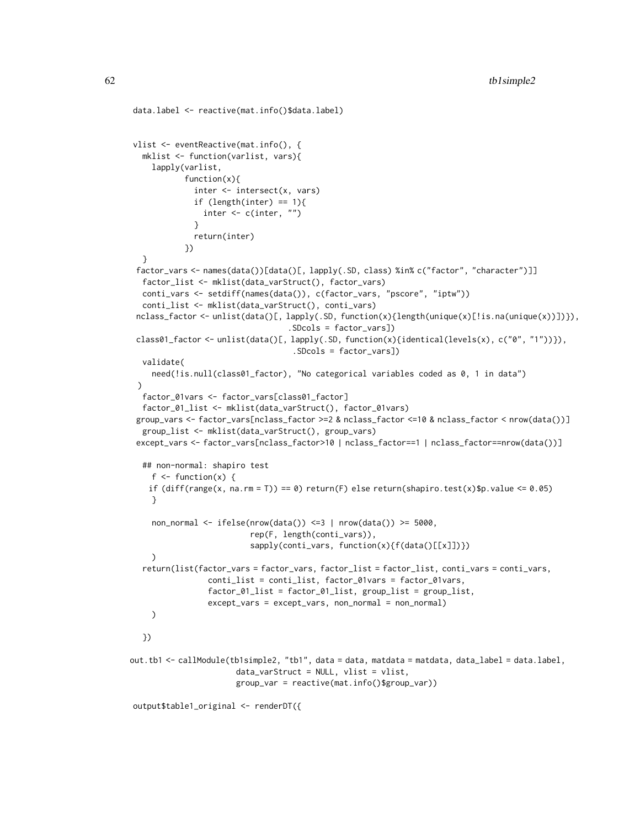```
data.label <- reactive(mat.info()$data.label)
vlist <- eventReactive(mat.info(), {
  mklist <- function(varlist, vars){
    lapply(varlist,
           function(x){
              inter <- intersect(x, vars)
              if (length(inter) == 1){
                inter <- c(inter, "")
             }
             return(inter)
           })
  }
 factor_vars <- names(data())[data()[, lapply(.SD, class) %in% c("factor", "character")]]
  factor_list <- mklist(data_varStruct(), factor_vars)
  conti_vars <- setdiff(names(data()), c(factor_vars, "pscore", "iptw"))
  conti_list <- mklist(data_varStruct(), conti_vars)
 nclass_factor <- unlist(data()[, lapply(.SD, function(x){length(unique(x)[!is.na(unique(x))])}),
                                  .SDcols = factor_vars])
 class01_factor <- unlist(data()[, lapply(.SD, function(x){identical(levels(x), c("0", "1"))}),
                                   .SDcols = factor_vars])
  validate(
    need(!is.null(class01_factor), "No categorical variables coded as 0, 1 in data")
 )
  factor_01vars <- factor_vars[class01_factor]
  factor_01_list <- mklist(data_varStruct(), factor_01vars)
 group_vars <- factor_vars[nclass_factor >=2 & nclass_factor <=10 & nclass_factor < nrow(data())]
  group_list <- mklist(data_varStruct(), group_vars)
 except_vars <- factor_vars[nclass_factor>10 | nclass_factor==1 | nclass_factor==nrow(data())]
  ## non-normal: shapiro test
    f \leftarrow function(x) {
   if diff(range(x, na.rm = T)) == 0) return(F) else return(shapiro.test(x)$p.value <= 0.05)
    }
    non_normal <- ifelse(nrow(data()) <=3 | nrow(data()) >= 5000,
                          rep(F, length(conti_vars)),
                          sapply(conti_vars, function(x){f(data()[[x]])})
    \lambdareturn(list(factor_vars = factor_vars, factor_list = factor_list, conti_vars = conti_vars,
                 conti_list = conti_list, factor_01vars = factor_01vars,
                 factor_01_list = factor_01_list, group_list = group_list,
                 except_vars = except_vars, non_normal = non_normal)
    )
  })
out.tb1 <- callModule(tb1simple2, "tb1", data = data, matdata = matdata, data_label = data.label,
                       data_varStruct = NULL, vlist = vlist,
                       group_var = reactive(mat.info()$group_var))
```
output\$table1\_original <- renderDT({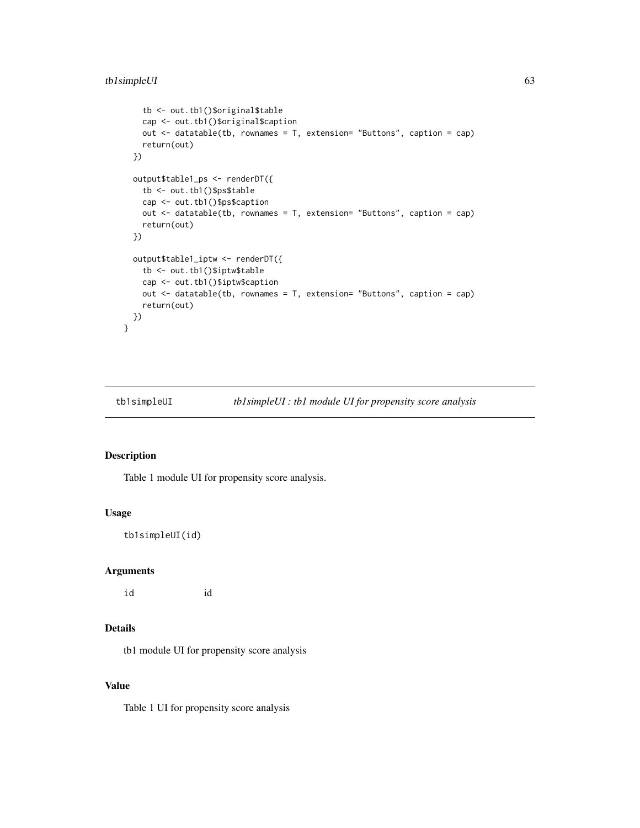```
tb <- out.tb1()$original$table
   cap <- out.tb1()$original$caption
   out <- datatable(tb, rownames = T, extension= "Buttons", caption = cap)
   return(out)
 })
 output$table1_ps <- renderDT({
   tb <- out.tb1()$ps$table
   cap <- out.tb1()$ps$caption
   out <- datatable(tb, rownames = T, extension= "Buttons", caption = cap)
   return(out)
 })
 output$table1_iptw <- renderDT({
   tb <- out.tb1()$iptw$table
   cap <- out.tb1()$iptw$caption
   out <- datatable(tb, rownames = T, extension= "Buttons", caption = cap)
   return(out)
 })
}
```
tb1simpleUI *tb1simpleUI : tb1 module UI for propensity score analysis*

# Description

Table 1 module UI for propensity score analysis.

#### Usage

tb1simpleUI(id)

#### Arguments

id id

# Details

tb1 module UI for propensity score analysis

# Value

Table 1 UI for propensity score analysis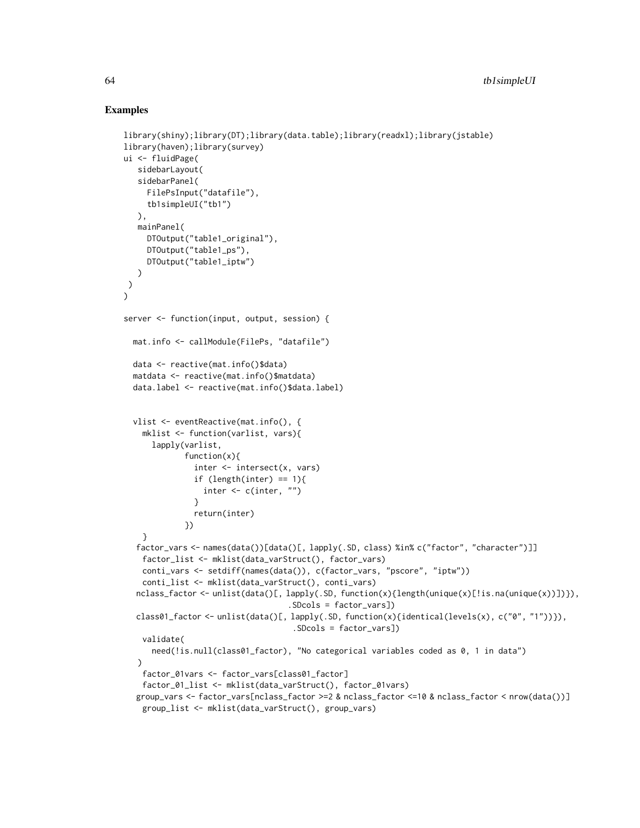```
library(shiny);library(DT);library(data.table);library(readxl);library(jstable)
library(haven);library(survey)
ui <- fluidPage(
   sidebarLayout(
   sidebarPanel(
     FilePsInput("datafile"),
     tb1simpleUI("tb1")
   ),
   mainPanel(
     DTOutput("table1_original"),
     DTOutput("table1_ps"),
     DTOutput("table1_iptw")
   )
)
\mathcal{L}server <- function(input, output, session) {
  mat.info <- callModule(FilePs, "datafile")
  data <- reactive(mat.info()$data)
  matdata <- reactive(mat.info()$matdata)
  data.label <- reactive(mat.info()$data.label)
  vlist <- eventReactive(mat.info(), {
    mklist <- function(varlist, vars){
      lapply(varlist,
             function(x){
               inter <- intersect(x, vars)
               if (length(inter) == 1){
                 inter <- c(inter, "")
               }
               return(inter)
             })
    }
  factor_vars <- names(data())[data()[, lapply(.SD, class) %in% c("factor", "character")]]
    factor_list <- mklist(data_varStruct(), factor_vars)
    conti_vars <- setdiff(names(data()), c(factor_vars, "pscore", "iptw"))
    conti_list <- mklist(data_varStruct(), conti_vars)
  nclass_factor <- unlist(data()[, lapply(.SD, function(x){length(unique(x)[!is.na(unique(x))])}),
                                    .SDcols = factor_vars])
  class01_factor <- unlist(data()[, lapply(.SD, function(x){identical(levels(x), c("0", "1"))}),
                                     .SDcols = factor_vars])
    validate(
      need(!is.null(class01_factor), "No categorical variables coded as 0, 1 in data")
   )
   factor_01vars <- factor_vars[class01_factor]
    factor_01_list <- mklist(data_varStruct(), factor_01vars)
  group_vars <- factor_vars[nclass_factor >=2 & nclass_factor <=10 & nclass_factor < nrow(data())]
    group_list <- mklist(data_varStruct(), group_vars)
```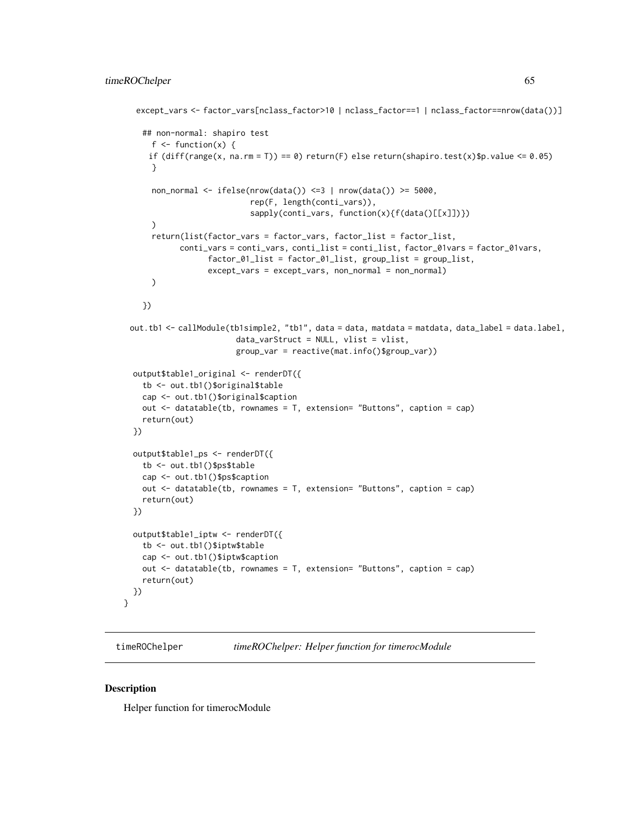```
except_vars <- factor_vars[nclass_factor>10 | nclass_factor==1 | nclass_factor==nrow(data())]
  ## non-normal: shapiro test
    f \leftarrow function(x) {
   if diff(range(x, na.rm = T)) == 0) return(F) else return(shapiro.test(x)$p.value <= 0.05)
    }
    non_normal <- ifelse(nrow(data()) <=3 | nrow(data()) >= 5000,
                          rep(F, length(conti_vars)),
                          sapply(conti_vars, function(x){f(data()[[x]])})
    )
    return(list(factor_vars = factor_vars, factor_list = factor_list,
          conti_vars = conti_vars, conti_list = conti_list, factor_01vars = factor_01vars,
                 factor_01_list = factor_01_list, group_list = group_list,
                except_vars = except_vars, non_normal = non_normal)
    )
  })
out.tb1 <- callModule(tb1simple2, "tb1", data = data, matdata = matdata, data_label = data.label,
                      data_varStruct = NULL, vlist = vlist,
                      group_var = reactive(mat.info()$group_var))
output$table1_original <- renderDT({
  tb <- out.tb1()$original$table
  cap <- out.tb1()$original$caption
  out <- datatable(tb, rownames = T, extension= "Buttons", caption = cap)
  return(out)
})
output$table1_ps <- renderDT({
  tb <- out.tb1()$ps$table
  cap <- out.tb1()$ps$caption
  out <- datatable(tb, rownames = T, extension= "Buttons", caption = cap)
  return(out)
})
output$table1_iptw <- renderDT({
  tb <- out.tb1()$iptw$table
  cap <- out.tb1()$iptw$caption
  out <- datatable(tb, rownames = T, extension= "Buttons", caption = cap)
  return(out)
})
```
timeROChelper *timeROChelper: Helper function for timerocModule*

#### Description

}

Helper function for timerocModule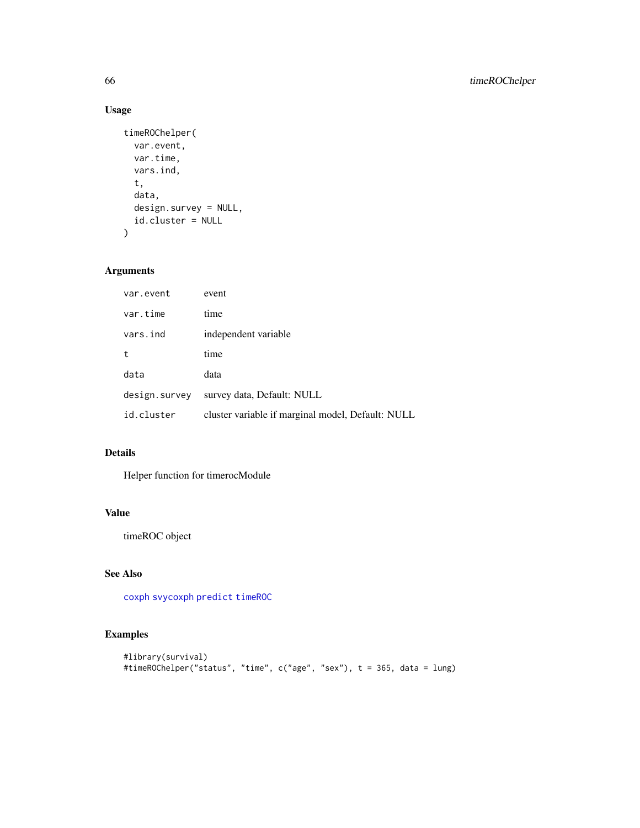# Usage

```
timeROChelper(
  var.event,
  var.time,
  vars.ind,
  t,
  data,
  design.survey = NULL,
  id.cluster = NULL
)
```
# Arguments

| var.event     | event                                             |
|---------------|---------------------------------------------------|
| var.time      | time                                              |
| vars.ind      | independent variable                              |
| t             | time                                              |
| data          | data                                              |
| design.survey | survey data, Default: NULL                        |
| id.cluster    | cluster variable if marginal model, Default: NULL |

# Details

Helper function for timerocModule

# Value

timeROC object

# See Also

[coxph](#page-0-0) [svycoxph](#page-0-0) [predict](#page-0-0) [timeROC](#page-0-0)

```
#library(survival)
#timeROChelper("status", "time", c("age", "sex"), t = 365, data = lung)
```
<span id="page-65-0"></span>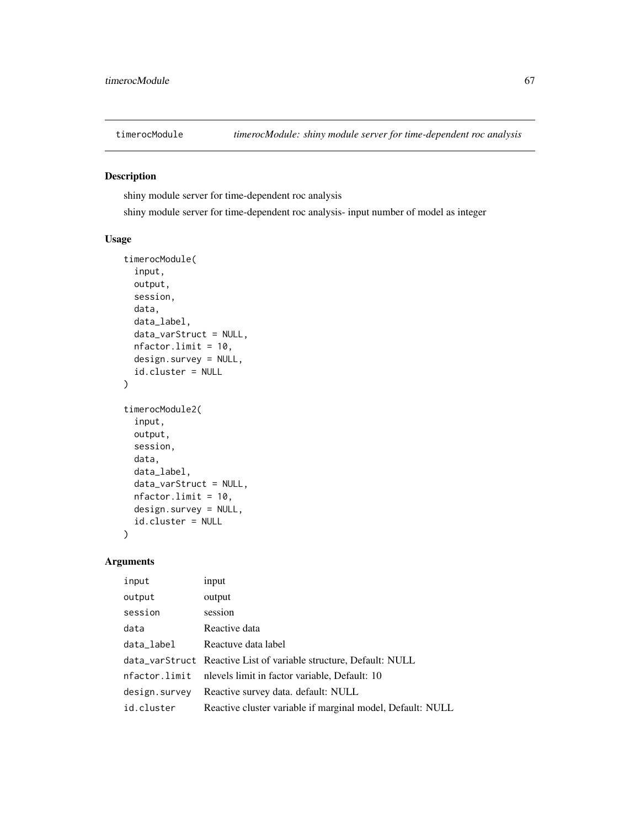## Description

shiny module server for time-dependent roc analysis

shiny module server for time-dependent roc analysis- input number of model as integer

#### Usage

```
timerocModule(
  input,
  output,
  session,
  data,
  data_label,
  data_varStruct = NULL,
 nfactor.limit = 10,
  design.survey = NULL,
  id.cluster = NULL
)
timerocModule2(
  input,
 output,
  session,
  data,
  data_label,
  data_varStruct = NULL,
 nfactor.limit = 10,
 design.survey = NULL,
  id.cluster = NULL
\mathcal{L}
```
# Arguments

| input         | input                                                             |
|---------------|-------------------------------------------------------------------|
| output        | output                                                            |
| session       | session                                                           |
| data          | Reactive data                                                     |
| data_label    | Reactuve data label                                               |
|               | data_varStruct Reactive List of variable structure, Default: NULL |
| nfactor.limit | nlevels limit in factor variable, Default: 10                     |
| design.survey | Reactive survey data. default: NULL                               |
| id.cluster    | Reactive cluster variable if marginal model, Default: NULL        |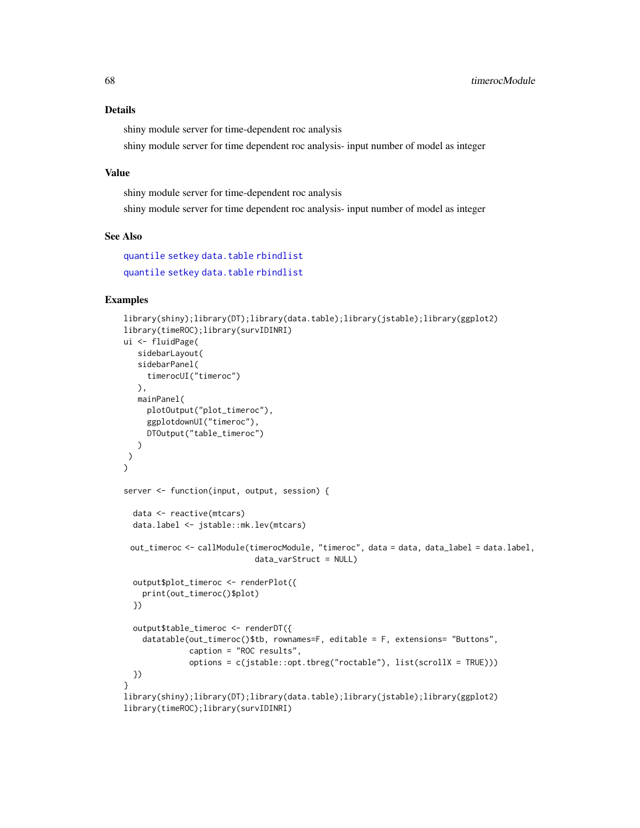# <span id="page-67-0"></span>Details

shiny module server for time-dependent roc analysis

shiny module server for time dependent roc analysis- input number of model as integer

#### Value

shiny module server for time-dependent roc analysis

shiny module server for time dependent roc analysis- input number of model as integer

#### See Also

[quantile](#page-0-0) [setkey](#page-0-0) [data.table](#page-0-0) [rbindlist](#page-0-0) [quantile](#page-0-0) [setkey](#page-0-0) [data.table](#page-0-0) [rbindlist](#page-0-0)

```
library(shiny);library(DT);library(data.table);library(jstable);library(ggplot2)
library(timeROC);library(survIDINRI)
ui <- fluidPage(
  sidebarLayout(
  sidebarPanel(
    timerocUI("timeroc")
  ),
  mainPanel(
    plotOutput("plot_timeroc"),
    ggplotdownUI("timeroc"),
    DTOutput("table_timeroc")
  )
)
\mathcal{L}server <- function(input, output, session) {
 data <- reactive(mtcars)
 data.label <- jstable::mk.lev(mtcars)
 out_timeroc <- callModule(timerocModule, "timeroc", data = data, data_label = data.label,
                            data_varStruct = NULL)
 output$plot_timeroc <- renderPlot({
   print(out_timeroc()$plot)
 })
 output$table_timeroc <- renderDT({
   datatable(out_timeroc()$tb, rownames=F, editable = F, extensions= "Buttons",
              caption = "ROC results",
              options = c(jstable::opt.tbreg("roctable"), list(scrollX = TRUE)))
 })
}
library(shiny);library(DT);library(data.table);library(jstable);library(ggplot2)
library(timeROC);library(survIDINRI)
```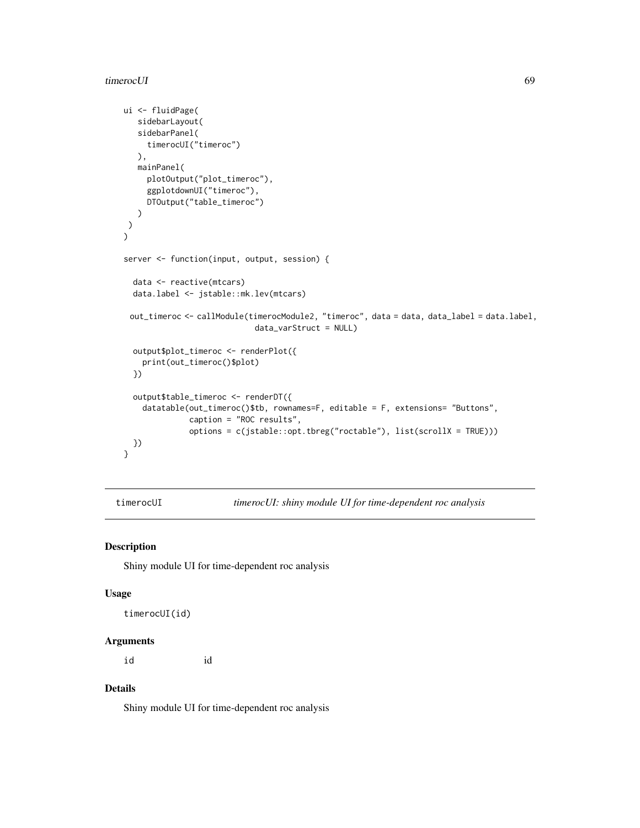#### timerocUI 69

```
ui <- fluidPage(
  sidebarLayout(
  sidebarPanel(
     timerocUI("timeroc")
  ),
  mainPanel(
     plotOutput("plot_timeroc"),
     ggplotdownUI("timeroc"),
     DTOutput("table_timeroc")
  )
)
\mathcal{L}server <- function(input, output, session) {
 data <- reactive(mtcars)
 data.label <- jstable::mk.lev(mtcars)
 out_timeroc <- callModule(timerocModule2, "timeroc", data = data, data_label = data.label,
                            data_varStruct = NULL)
 output$plot_timeroc <- renderPlot({
   print(out_timeroc()$plot)
 })
 output$table_timeroc <- renderDT({
   datatable(out_timeroc()$tb, rownames=F, editable = F, extensions= "Buttons",
              caption = "ROC results",
              options = c(jstable::opt.tbreg("roctable"), list(scrollX = TRUE)))
 })
}
```
timerocUI *timerocUI: shiny module UI for time-dependent roc analysis*

#### Description

Shiny module UI for time-dependent roc analysis

#### Usage

```
timerocUI(id)
```
#### Arguments

id id

# Details

Shiny module UI for time-dependent roc analysis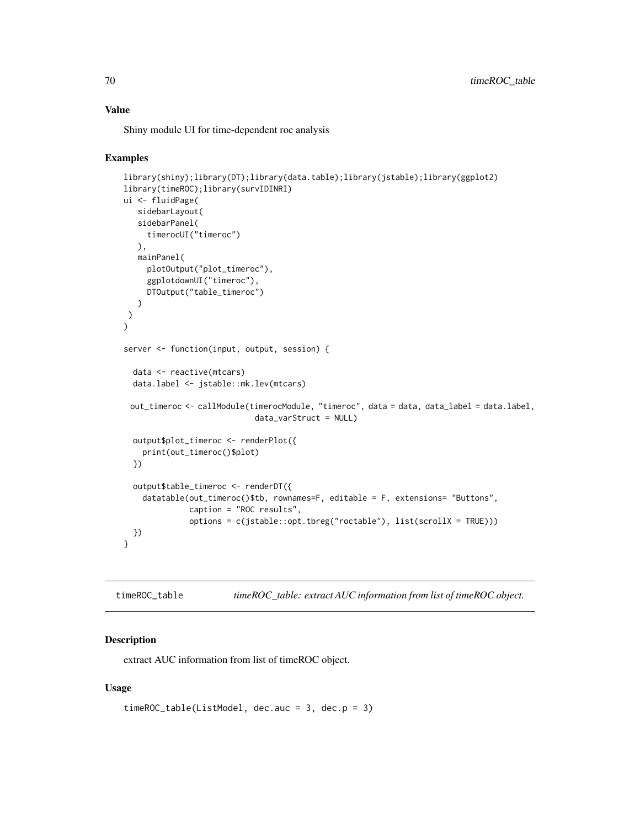# Value

Shiny module UI for time-dependent roc analysis

#### Examples

```
library(shiny);library(DT);library(data.table);library(jstable);library(ggplot2)
library(timeROC);library(survIDINRI)
ui <- fluidPage(
   sidebarLayout(
   sidebarPanel(
     timerocUI("timeroc")
  ),
   mainPanel(
     plotOutput("plot_timeroc"),
     ggplotdownUI("timeroc"),
     DTOutput("table_timeroc")
   )
)
\mathcal{L}server <- function(input, output, session) {
  data <- reactive(mtcars)
  data.label <- jstable::mk.lev(mtcars)
 out_timeroc <- callModule(timerocModule, "timeroc", data = data, data_label = data.label,
                            data_varStruct = NULL)
  output$plot_timeroc <- renderPlot({
    print(out_timeroc()$plot)
  })
  output$table_timeroc <- renderDT({
    datatable(out_timeroc()$tb, rownames=F, editable = F, extensions= "Buttons",
              caption = "ROC results",
              options = c(jstable::opt.tbreg("roctable"), list(scrollX = TRUE)))
  })
}
```
timeROC\_table *timeROC\_table: extract AUC information from list of timeROC object.*

## Description

extract AUC information from list of timeROC object.

```
timeROC_table(ListModel, dec.auc = 3, dec.p = 3)
```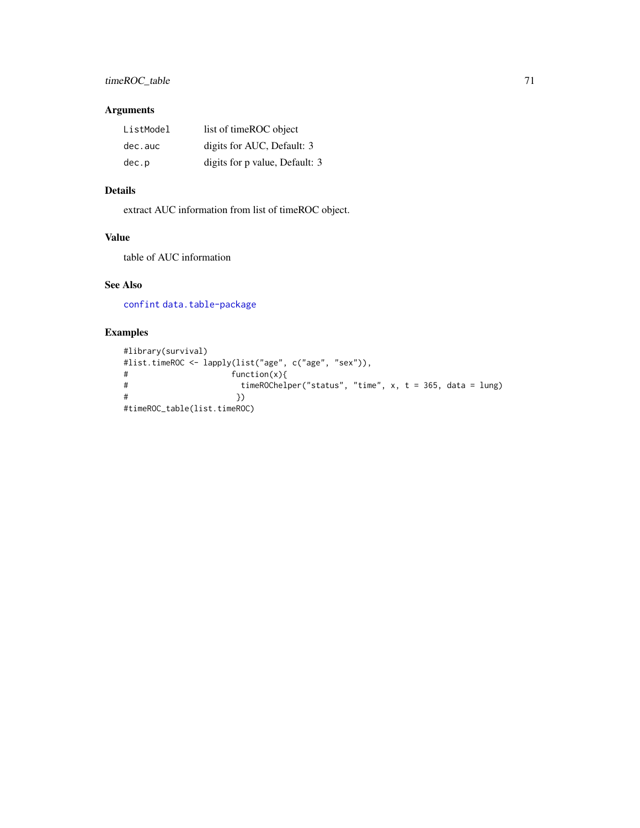# <span id="page-70-0"></span>Arguments

| ListModel | list of timeROC object         |
|-----------|--------------------------------|
| dec.auc   | digits for AUC, Default: 3     |
| dec.p     | digits for p value, Default: 3 |

# Details

extract AUC information from list of timeROC object.

# Value

table of AUC information

# See Also

[confint](#page-0-0) [data.table-package](#page-0-0)

```
#library(survival)
#list.timeROC <- lapply(list("age", c("age", "sex")),
#<br># function(x){<br># timeROChelp
                      timeROChelper("status", "time", x, t = 365, data = lung)# })
#timeROC_table(list.timeROC)
```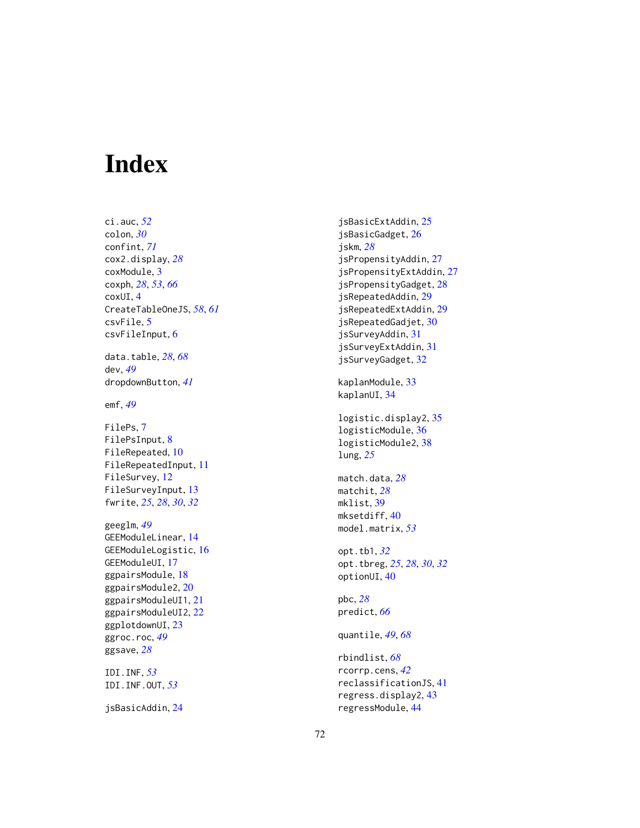# Index

ci.auc , *[52](#page-51-0)* colon , *[30](#page-29-0)* confint , *[71](#page-70-0)* cox2.display , *[28](#page-27-0)* coxModule , [3](#page-2-0) coxph , *[28](#page-27-0)* , *[53](#page-52-0)* , *[66](#page-65-0)* coxUI , [4](#page-3-0) CreateTableOneJS , *[58](#page-57-0)* , *[61](#page-60-0)* csvFile , [5](#page-4-0) csvFileInput , [6](#page-5-0) data.table , *[28](#page-27-0)* , *[68](#page-67-0)* dev , *[49](#page-48-0)* dropdownButton , *[41](#page-40-0)*

emf , *[49](#page-48-0)*

FilePs, [7](#page-6-0) FilePsInput , [8](#page-7-0) FileRepeated , [10](#page-9-0) FileRepeatedInput , [11](#page-10-0) FileSurvey , [12](#page-11-0) FileSurveyInput , [13](#page-12-0) fwrite , *[25](#page-24-0)* , *[28](#page-27-0)* , *[30](#page-29-0)* , *[32](#page-31-0)*

geeglm , *[49](#page-48-0)* GEEModuleLinear , [14](#page-13-0) GEEModuleLogistic , [16](#page-15-0) GEEModuleUI , [17](#page-16-0) ggpairsModule , [18](#page-17-0) ggpairsModule2 , [20](#page-19-0) ggpairsModuleUI1 , [21](#page-20-0) ggpairsModuleUI2 , [22](#page-21-0) ggplotdownUI, [23](#page-22-0) ggroc.roc , *[49](#page-48-0)* ggsave , *[28](#page-27-0)*

IDI.INF , *[53](#page-52-0)* IDI.INF.OUT , *[53](#page-52-0)*

jsBasicAddin , [24](#page-23-0)

jsBasicExtAddin , [25](#page-24-0) jsBasicGadget , [26](#page-25-0) jskm , *[28](#page-27-0)* jsPropensityAddin , [27](#page-26-0) jsPropensityExtAddin , [27](#page-26-0) jsPropensityGadget , [28](#page-27-0) jsRepeatedAddin , [29](#page-28-0) jsRepeatedExtAddin , [29](#page-28-0) jsRepeatedGadjet , [30](#page-29-0) jsSurveyAddin , [31](#page-30-0) jsSurveyExtAddin , [31](#page-30-0) jsSurveyGadget , [32](#page-31-0) kaplanModule , [33](#page-32-0) kaplanUI , [34](#page-33-0) logistic.display2 , [35](#page-34-0) logisticModule , [36](#page-35-0) logisticModule2 , [38](#page-37-0) lung , *[25](#page-24-0)* match.data , *[28](#page-27-0)* matchit , *[28](#page-27-0)* mklist , [39](#page-38-0) mksetdiff,[40](#page-39-0) model.matrix , *[53](#page-52-0)* opt.tb1 , *[32](#page-31-0)* opt.tbreg , *[25](#page-24-0)* , *[28](#page-27-0)* , *[30](#page-29-0)* , *[32](#page-31-0)* optionUI , [40](#page-39-0) pbc , *[28](#page-27-0)* predict , *[66](#page-65-0)* quantile , *[49](#page-48-0)* , *[68](#page-67-0)* rbindlist , *[68](#page-67-0)* rcorrp.cens , *[42](#page-41-0)* reclassificationJS , [41](#page-40-0)

regress.display2 , [43](#page-42-0) regressModule , [44](#page-43-0)